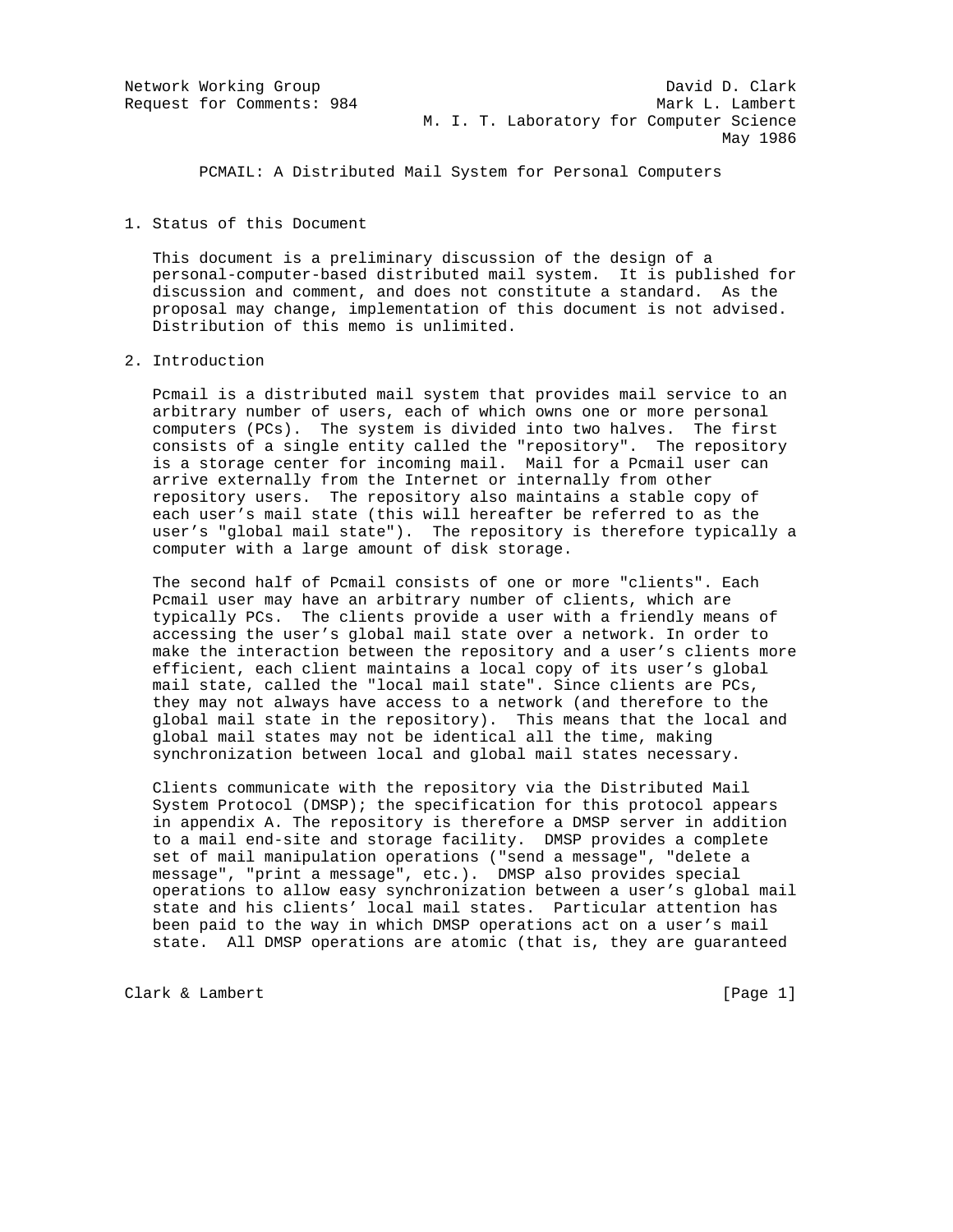PCMAIL: A Distributed Mail System for Personal Computers

# 1. Status of this Document

 This document is a preliminary discussion of the design of a personal-computer-based distributed mail system. It is published for discussion and comment, and does not constitute a standard. As the proposal may change, implementation of this document is not advised. Distribution of this memo is unlimited.

# 2. Introduction

 Pcmail is a distributed mail system that provides mail service to an arbitrary number of users, each of which owns one or more personal computers (PCs). The system is divided into two halves. The first consists of a single entity called the "repository". The repository is a storage center for incoming mail. Mail for a Pcmail user can arrive externally from the Internet or internally from other repository users. The repository also maintains a stable copy of each user's mail state (this will hereafter be referred to as the user's "global mail state"). The repository is therefore typically a computer with a large amount of disk storage.

 The second half of Pcmail consists of one or more "clients". Each Pcmail user may have an arbitrary number of clients, which are typically PCs. The clients provide a user with a friendly means of accessing the user's global mail state over a network. In order to make the interaction between the repository and a user's clients more efficient, each client maintains a local copy of its user's global mail state, called the "local mail state". Since clients are PCs, they may not always have access to a network (and therefore to the global mail state in the repository). This means that the local and global mail states may not be identical all the time, making synchronization between local and global mail states necessary.

 Clients communicate with the repository via the Distributed Mail System Protocol (DMSP); the specification for this protocol appears in appendix A. The repository is therefore a DMSP server in addition to a mail end-site and storage facility. DMSP provides a complete set of mail manipulation operations ("send a message", "delete a message", "print a message", etc.). DMSP also provides special operations to allow easy synchronization between a user's global mail state and his clients' local mail states. Particular attention has been paid to the way in which DMSP operations act on a user's mail state. All DMSP operations are atomic (that is, they are guaranteed

Clark & Lambert [Page 1]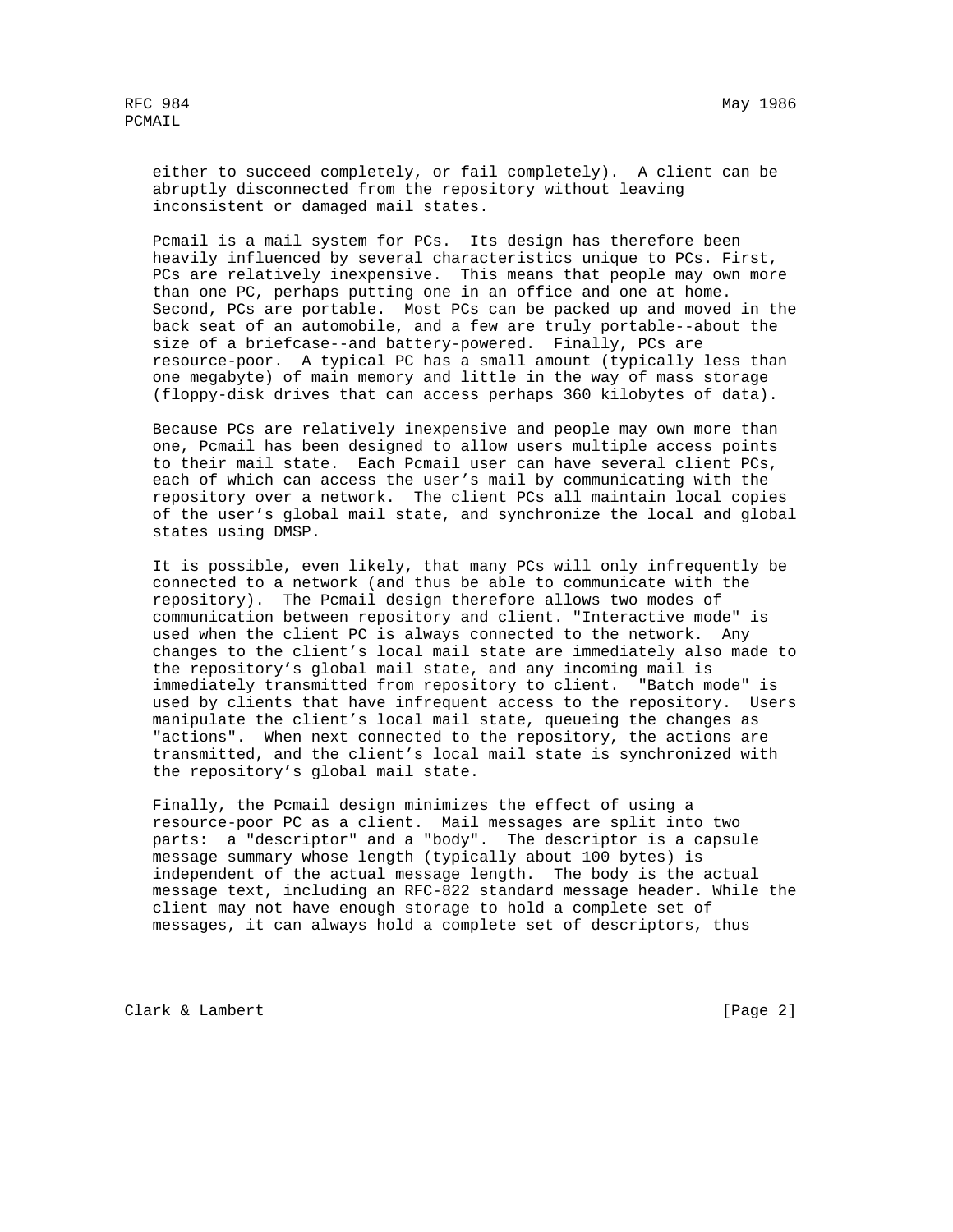either to succeed completely, or fail completely). A client can be abruptly disconnected from the repository without leaving inconsistent or damaged mail states.

 Pcmail is a mail system for PCs. Its design has therefore been heavily influenced by several characteristics unique to PCs. First, PCs are relatively inexpensive. This means that people may own more than one PC, perhaps putting one in an office and one at home. Second, PCs are portable. Most PCs can be packed up and moved in the back seat of an automobile, and a few are truly portable--about the size of a briefcase--and battery-powered. Finally, PCs are resource-poor. A typical PC has a small amount (typically less than one megabyte) of main memory and little in the way of mass storage (floppy-disk drives that can access perhaps 360 kilobytes of data).

 Because PCs are relatively inexpensive and people may own more than one, Pcmail has been designed to allow users multiple access points to their mail state. Each Pcmail user can have several client PCs, each of which can access the user's mail by communicating with the repository over a network. The client PCs all maintain local copies of the user's global mail state, and synchronize the local and global states using DMSP.

 It is possible, even likely, that many PCs will only infrequently be connected to a network (and thus be able to communicate with the repository). The Pcmail design therefore allows two modes of communication between repository and client. "Interactive mode" is used when the client PC is always connected to the network. Any changes to the client's local mail state are immediately also made to the repository's global mail state, and any incoming mail is immediately transmitted from repository to client. "Batch mode" is used by clients that have infrequent access to the repository. Users manipulate the client's local mail state, queueing the changes as "actions". When next connected to the repository, the actions are transmitted, and the client's local mail state is synchronized with the repository's global mail state.

 Finally, the Pcmail design minimizes the effect of using a resource-poor PC as a client. Mail messages are split into two parts: a "descriptor" and a "body". The descriptor is a capsule message summary whose length (typically about 100 bytes) is independent of the actual message length. The body is the actual message text, including an RFC-822 standard message header. While the client may not have enough storage to hold a complete set of messages, it can always hold a complete set of descriptors, thus

Clark & Lambert [Page 2]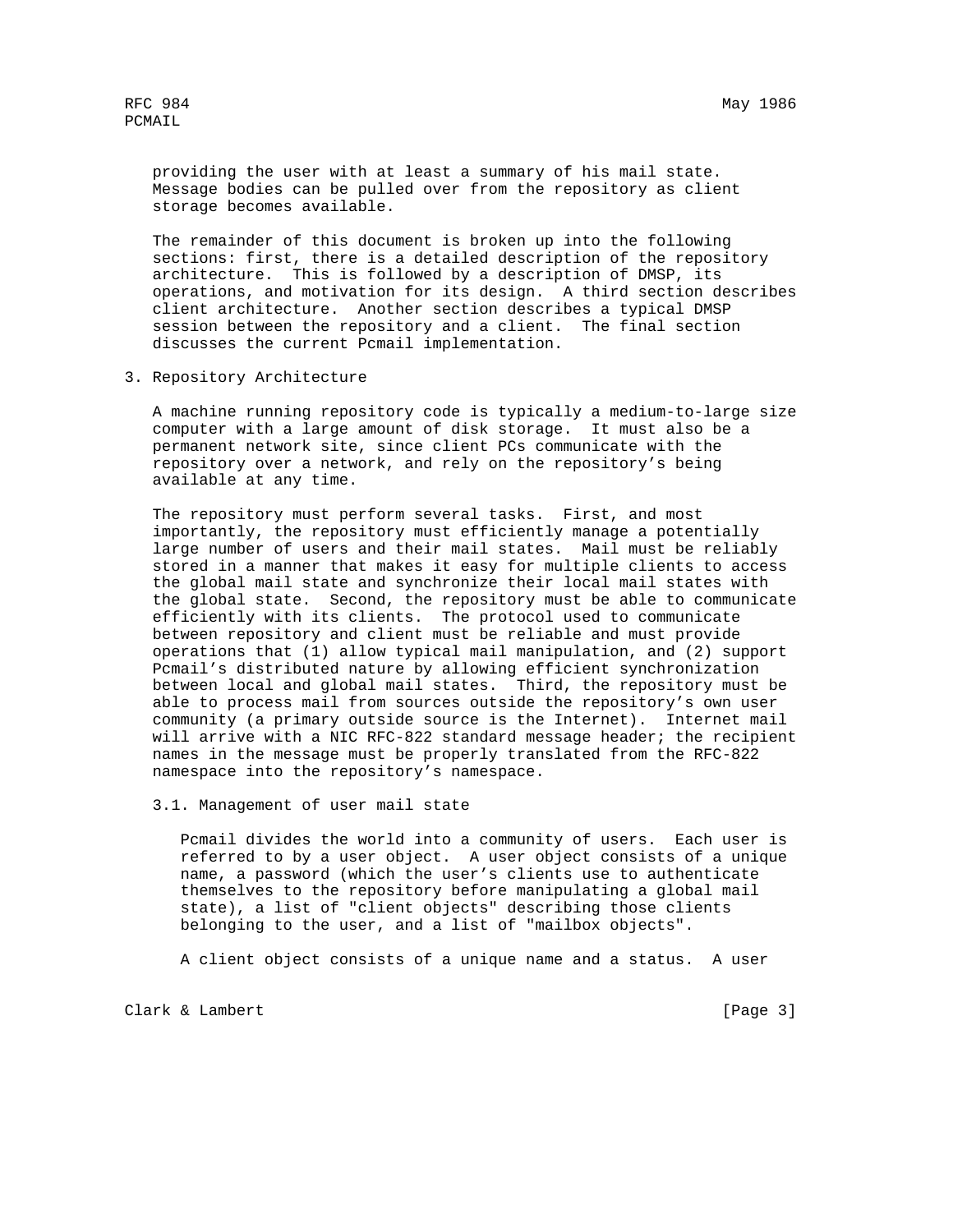providing the user with at least a summary of his mail state. Message bodies can be pulled over from the repository as client storage becomes available.

 The remainder of this document is broken up into the following sections: first, there is a detailed description of the repository architecture. This is followed by a description of DMSP, its operations, and motivation for its design. A third section describes client architecture. Another section describes a typical DMSP session between the repository and a client. The final section discusses the current Pcmail implementation.

3. Repository Architecture

 A machine running repository code is typically a medium-to-large size computer with a large amount of disk storage. It must also be a permanent network site, since client PCs communicate with the repository over a network, and rely on the repository's being available at any time.

 The repository must perform several tasks. First, and most importantly, the repository must efficiently manage a potentially large number of users and their mail states. Mail must be reliably stored in a manner that makes it easy for multiple clients to access the global mail state and synchronize their local mail states with the global state. Second, the repository must be able to communicate efficiently with its clients. The protocol used to communicate between repository and client must be reliable and must provide operations that (1) allow typical mail manipulation, and (2) support Pcmail's distributed nature by allowing efficient synchronization between local and global mail states. Third, the repository must be able to process mail from sources outside the repository's own user community (a primary outside source is the Internet). Internet mail will arrive with a NIC RFC-822 standard message header; the recipient names in the message must be properly translated from the RFC-822 namespace into the repository's namespace.

3.1. Management of user mail state

 Pcmail divides the world into a community of users. Each user is referred to by a user object. A user object consists of a unique name, a password (which the user's clients use to authenticate themselves to the repository before manipulating a global mail state), a list of "client objects" describing those clients belonging to the user, and a list of "mailbox objects".

A client object consists of a unique name and a status. A user

Clark & Lambert [Page 3]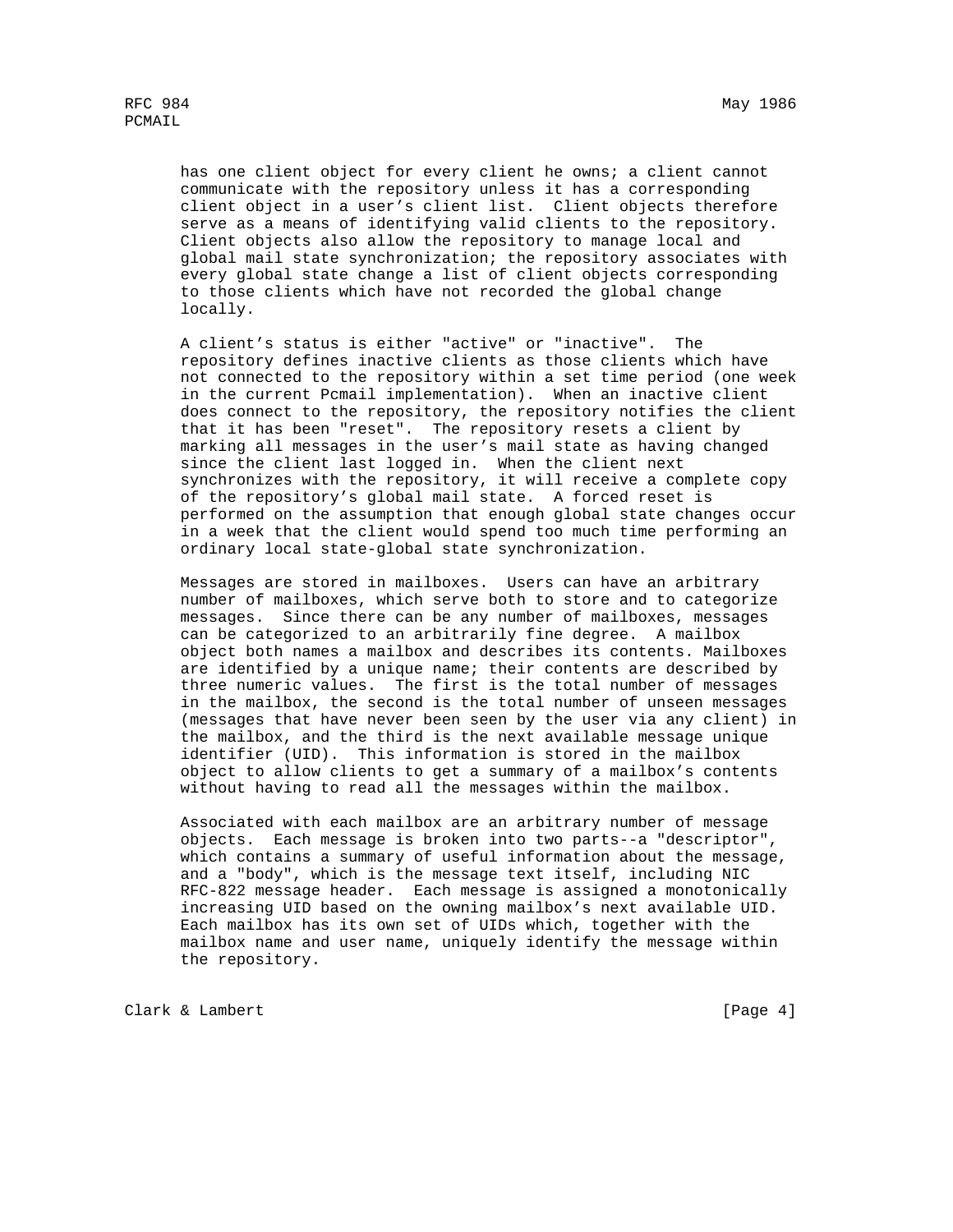has one client object for every client he owns; a client cannot communicate with the repository unless it has a corresponding client object in a user's client list. Client objects therefore serve as a means of identifying valid clients to the repository. Client objects also allow the repository to manage local and global mail state synchronization; the repository associates with every global state change a list of client objects corresponding to those clients which have not recorded the global change locally.

 A client's status is either "active" or "inactive". The repository defines inactive clients as those clients which have not connected to the repository within a set time period (one week in the current Pcmail implementation). When an inactive client does connect to the repository, the repository notifies the client that it has been "reset". The repository resets a client by marking all messages in the user's mail state as having changed since the client last logged in. When the client next synchronizes with the repository, it will receive a complete copy of the repository's global mail state. A forced reset is performed on the assumption that enough global state changes occur in a week that the client would spend too much time performing an ordinary local state-global state synchronization.

 Messages are stored in mailboxes. Users can have an arbitrary number of mailboxes, which serve both to store and to categorize messages. Since there can be any number of mailboxes, messages can be categorized to an arbitrarily fine degree. A mailbox object both names a mailbox and describes its contents. Mailboxes are identified by a unique name; their contents are described by three numeric values. The first is the total number of messages in the mailbox, the second is the total number of unseen messages (messages that have never been seen by the user via any client) in the mailbox, and the third is the next available message unique identifier (UID). This information is stored in the mailbox object to allow clients to get a summary of a mailbox's contents without having to read all the messages within the mailbox.

 Associated with each mailbox are an arbitrary number of message objects. Each message is broken into two parts--a "descriptor", which contains a summary of useful information about the message, and a "body", which is the message text itself, including NIC RFC-822 message header. Each message is assigned a monotonically increasing UID based on the owning mailbox's next available UID. Each mailbox has its own set of UIDs which, together with the mailbox name and user name, uniquely identify the message within the repository.

Clark & Lambert [Page 4]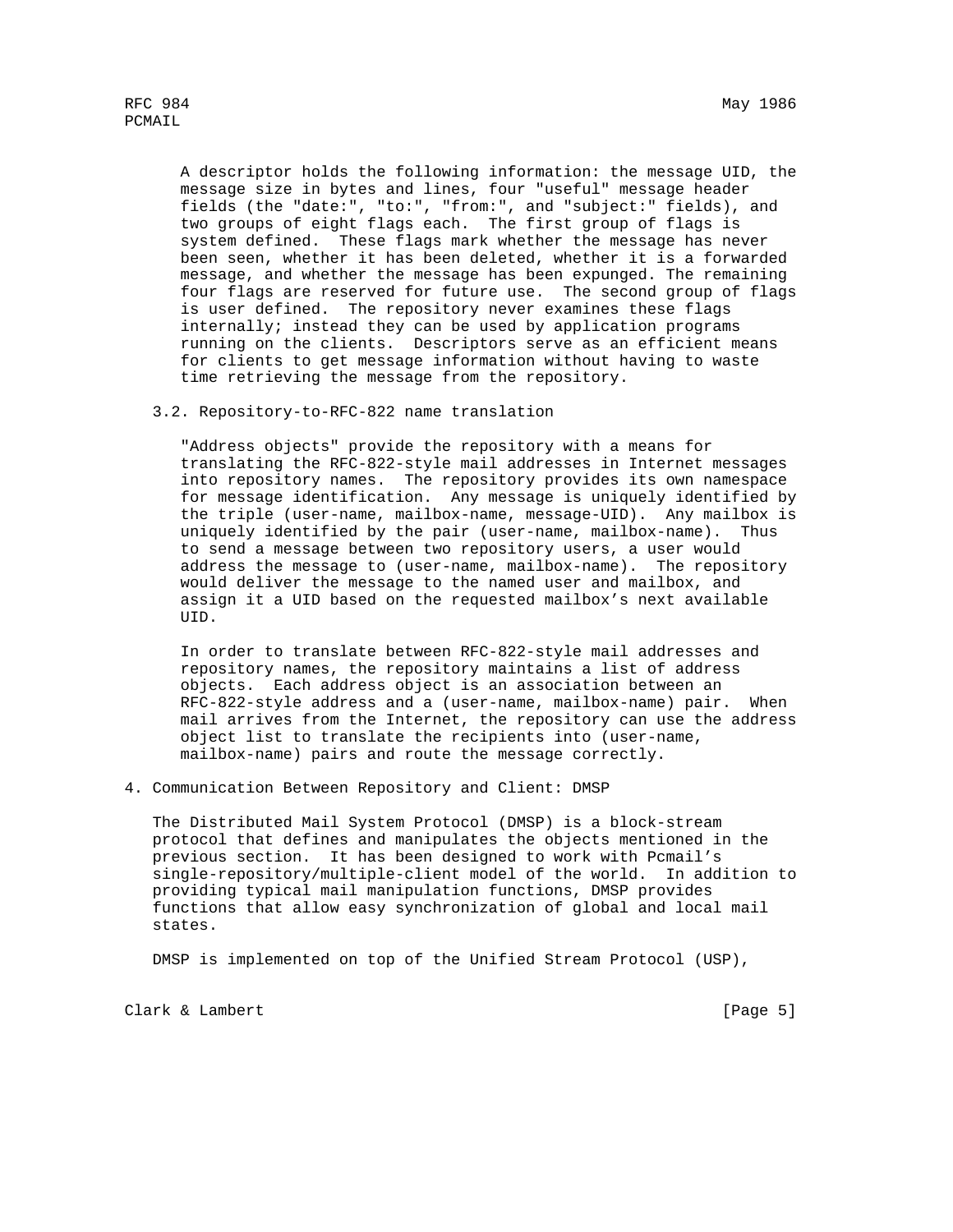A descriptor holds the following information: the message UID, the message size in bytes and lines, four "useful" message header fields (the "date:", "to:", "from:", and "subject:" fields), and two groups of eight flags each. The first group of flags is system defined. These flags mark whether the message has never been seen, whether it has been deleted, whether it is a forwarded message, and whether the message has been expunged. The remaining four flags are reserved for future use. The second group of flags is user defined. The repository never examines these flags internally; instead they can be used by application programs running on the clients. Descriptors serve as an efficient means for clients to get message information without having to waste time retrieving the message from the repository.

3.2. Repository-to-RFC-822 name translation

 "Address objects" provide the repository with a means for translating the RFC-822-style mail addresses in Internet messages into repository names. The repository provides its own namespace for message identification. Any message is uniquely identified by the triple (user-name, mailbox-name, message-UID). Any mailbox is uniquely identified by the pair (user-name, mailbox-name). Thus to send a message between two repository users, a user would address the message to (user-name, mailbox-name). The repository would deliver the message to the named user and mailbox, and assign it a UID based on the requested mailbox's next available UID.

 In order to translate between RFC-822-style mail addresses and repository names, the repository maintains a list of address objects. Each address object is an association between an RFC-822-style address and a (user-name, mailbox-name) pair. When mail arrives from the Internet, the repository can use the address object list to translate the recipients into (user-name, mailbox-name) pairs and route the message correctly.

4. Communication Between Repository and Client: DMSP

 The Distributed Mail System Protocol (DMSP) is a block-stream protocol that defines and manipulates the objects mentioned in the previous section. It has been designed to work with Pcmail's single-repository/multiple-client model of the world. In addition to providing typical mail manipulation functions, DMSP provides functions that allow easy synchronization of global and local mail states.

DMSP is implemented on top of the Unified Stream Protocol (USP),

Clark & Lambert [Page 5]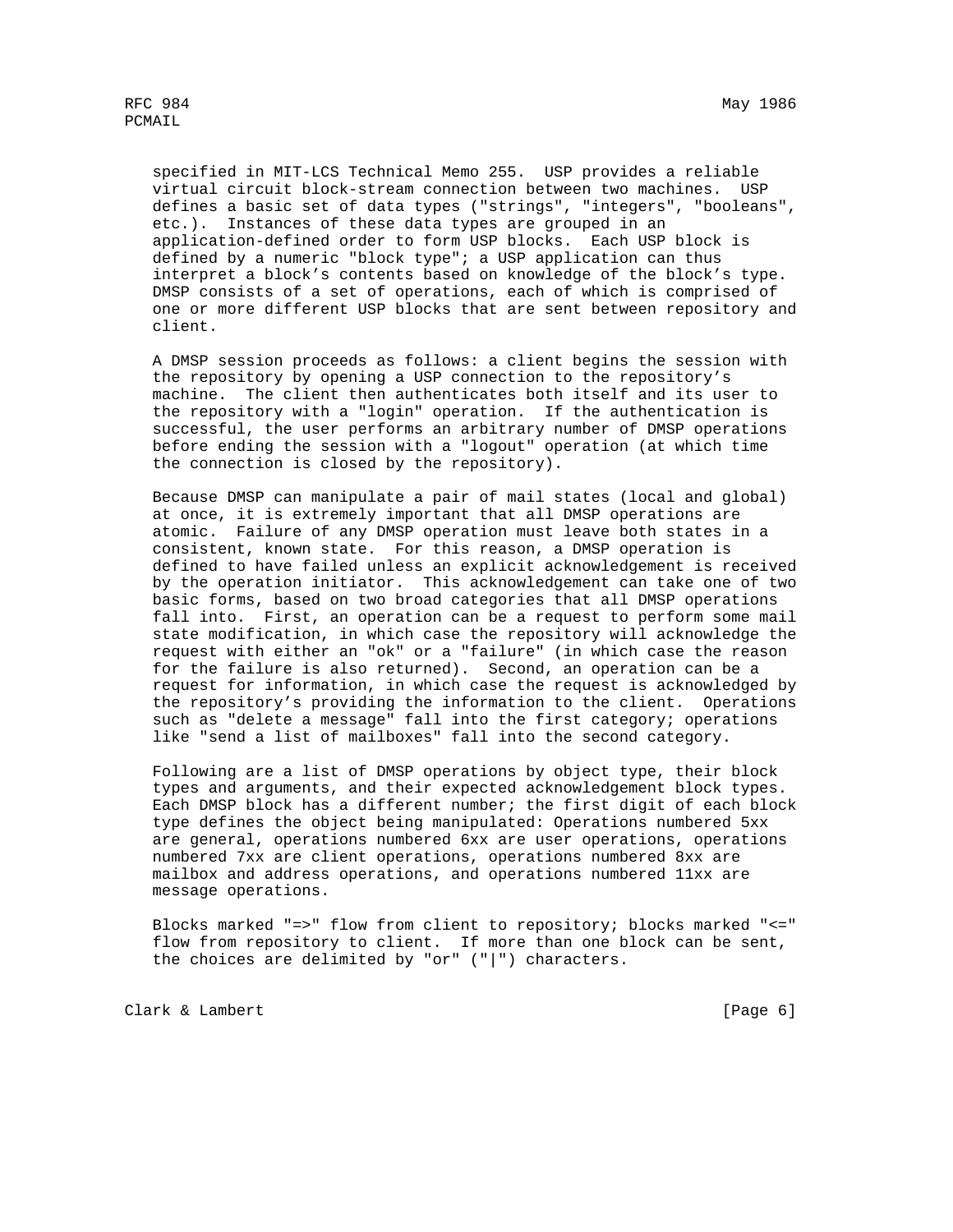specified in MIT-LCS Technical Memo 255. USP provides a reliable virtual circuit block-stream connection between two machines. USP defines a basic set of data types ("strings", "integers", "booleans", etc.). Instances of these data types are grouped in an application-defined order to form USP blocks. Each USP block is defined by a numeric "block type"; a USP application can thus interpret a block's contents based on knowledge of the block's type. DMSP consists of a set of operations, each of which is comprised of one or more different USP blocks that are sent between repository and client.

 A DMSP session proceeds as follows: a client begins the session with the repository by opening a USP connection to the repository's machine. The client then authenticates both itself and its user to the repository with a "login" operation. If the authentication is successful, the user performs an arbitrary number of DMSP operations before ending the session with a "logout" operation (at which time the connection is closed by the repository).

 Because DMSP can manipulate a pair of mail states (local and global) at once, it is extremely important that all DMSP operations are atomic. Failure of any DMSP operation must leave both states in a consistent, known state. For this reason, a DMSP operation is defined to have failed unless an explicit acknowledgement is received by the operation initiator. This acknowledgement can take one of two basic forms, based on two broad categories that all DMSP operations fall into. First, an operation can be a request to perform some mail state modification, in which case the repository will acknowledge the request with either an "ok" or a "failure" (in which case the reason for the failure is also returned). Second, an operation can be a request for information, in which case the request is acknowledged by the repository's providing the information to the client. Operations such as "delete a message" fall into the first category; operations like "send a list of mailboxes" fall into the second category.

 Following are a list of DMSP operations by object type, their block types and arguments, and their expected acknowledgement block types. Each DMSP block has a different number; the first digit of each block type defines the object being manipulated: Operations numbered 5xx are general, operations numbered 6xx are user operations, operations numbered 7xx are client operations, operations numbered 8xx are mailbox and address operations, and operations numbered 11xx are message operations.

 Blocks marked "=>" flow from client to repository; blocks marked "<=" flow from repository to client. If more than one block can be sent, the choices are delimited by "or"  $(|"|")$  characters.

Clark & Lambert [Page 6]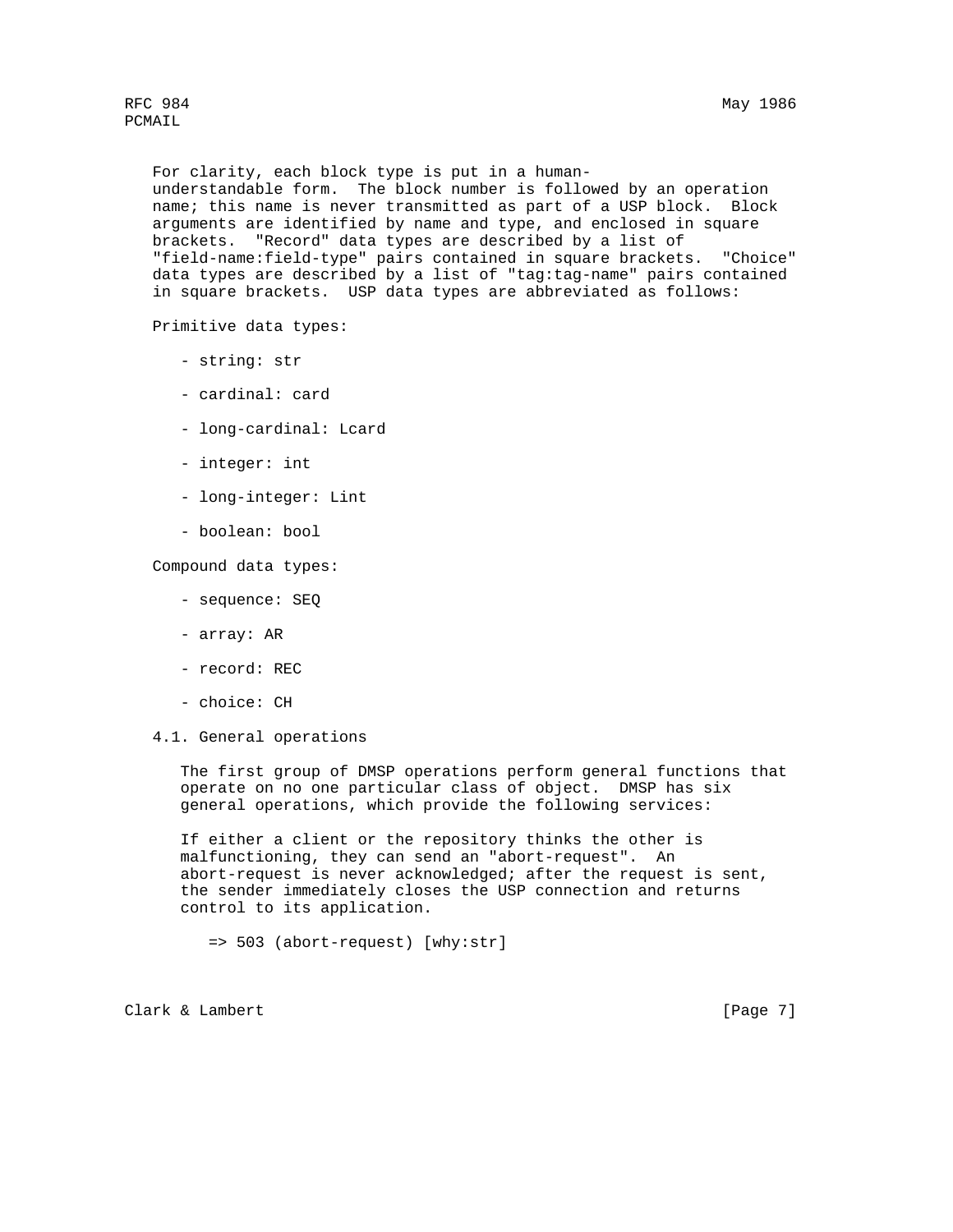RFC 984 May 1986

PCMAIL

 For clarity, each block type is put in a human understandable form. The block number is followed by an operation name; this name is never transmitted as part of a USP block. Block arguments are identified by name and type, and enclosed in square brackets. "Record" data types are described by a list of "field-name:field-type" pairs contained in square brackets. "Choice" data types are described by a list of "tag:tag-name" pairs contained in square brackets. USP data types are abbreviated as follows:

Primitive data types:

- string: str
- cardinal: card
- long-cardinal: Lcard
- integer: int
- long-integer: Lint
- boolean: bool

Compound data types:

- sequence: SEQ
- array: AR
- record: REC
- choice: CH
- 4.1. General operations

 The first group of DMSP operations perform general functions that operate on no one particular class of object. DMSP has six general operations, which provide the following services:

 If either a client or the repository thinks the other is malfunctioning, they can send an "abort-request". An abort-request is never acknowledged; after the request is sent, the sender immediately closes the USP connection and returns control to its application.

=> 503 (abort-request) [why:str]

Clark & Lambert [Page 7]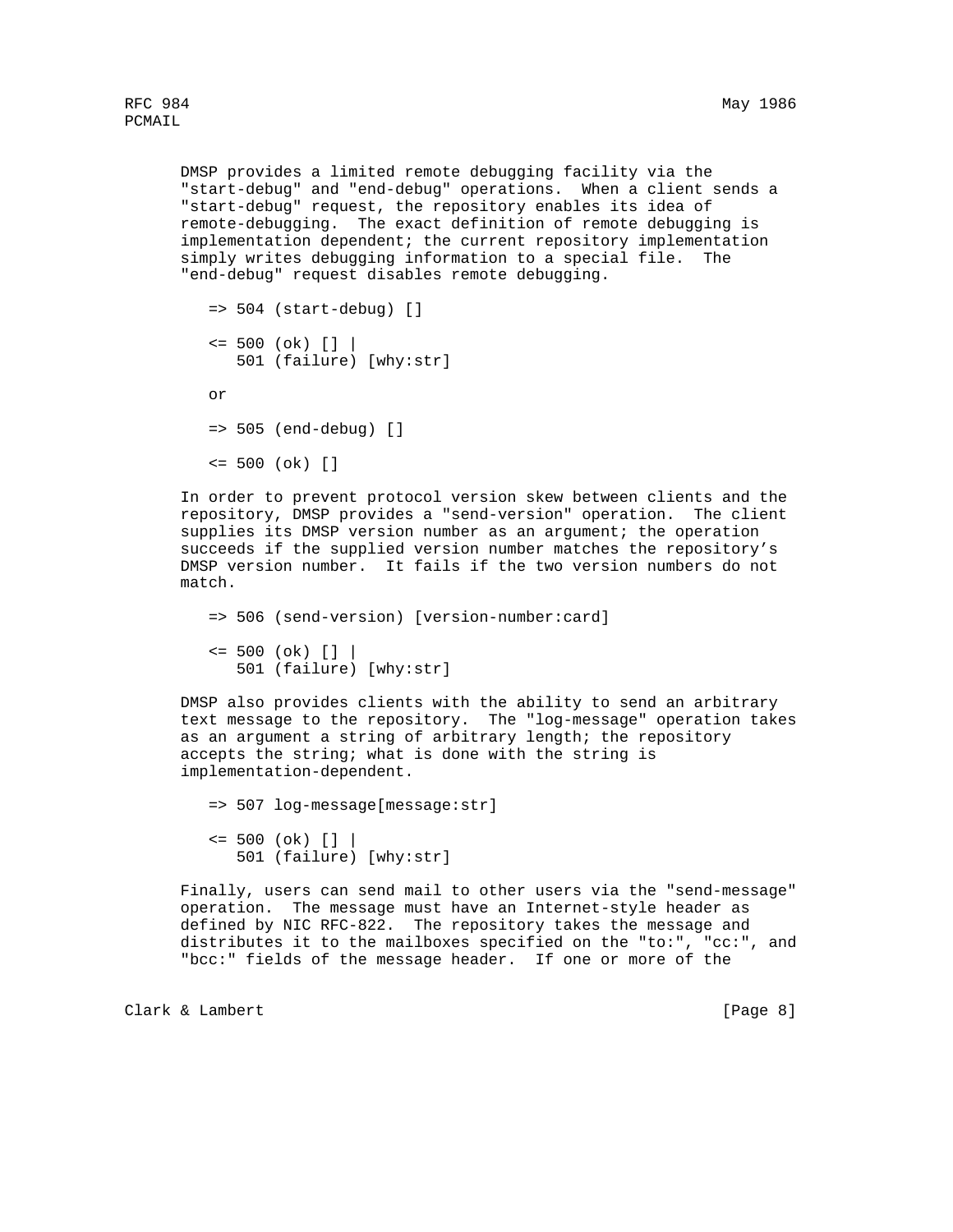DMSP provides a limited remote debugging facility via the "start-debug" and "end-debug" operations. When a client sends a "start-debug" request, the repository enables its idea of remote-debugging. The exact definition of remote debugging is implementation dependent; the current repository implementation simply writes debugging information to a special file. The "end-debug" request disables remote debugging.

```
= 504 (start-debug) []
\le 500 (ok) [] | 501 (failure) [why:str]
 or
 => 505 (end-debug) []
 <= 500 (ok) []
```
 In order to prevent protocol version skew between clients and the repository, DMSP provides a "send-version" operation. The client supplies its DMSP version number as an argument; the operation succeeds if the supplied version number matches the repository's DMSP version number. It fails if the two version numbers do not match.

 => 506 (send-version) [version-number:card]  $\le$  500 (ok) [] | 501 (failure) [why:str]

 DMSP also provides clients with the ability to send an arbitrary text message to the repository. The "log-message" operation takes as an argument a string of arbitrary length; the repository accepts the string; what is done with the string is implementation-dependent.

 => 507 log-message[message:str]  $\le$  500 (ok) []  $|$ 501 (failure) [why:str]

 Finally, users can send mail to other users via the "send-message" operation. The message must have an Internet-style header as defined by NIC RFC-822. The repository takes the message and distributes it to the mailboxes specified on the "to:", "cc:", and "bcc:" fields of the message header. If one or more of the

Clark & Lambert [Page 8]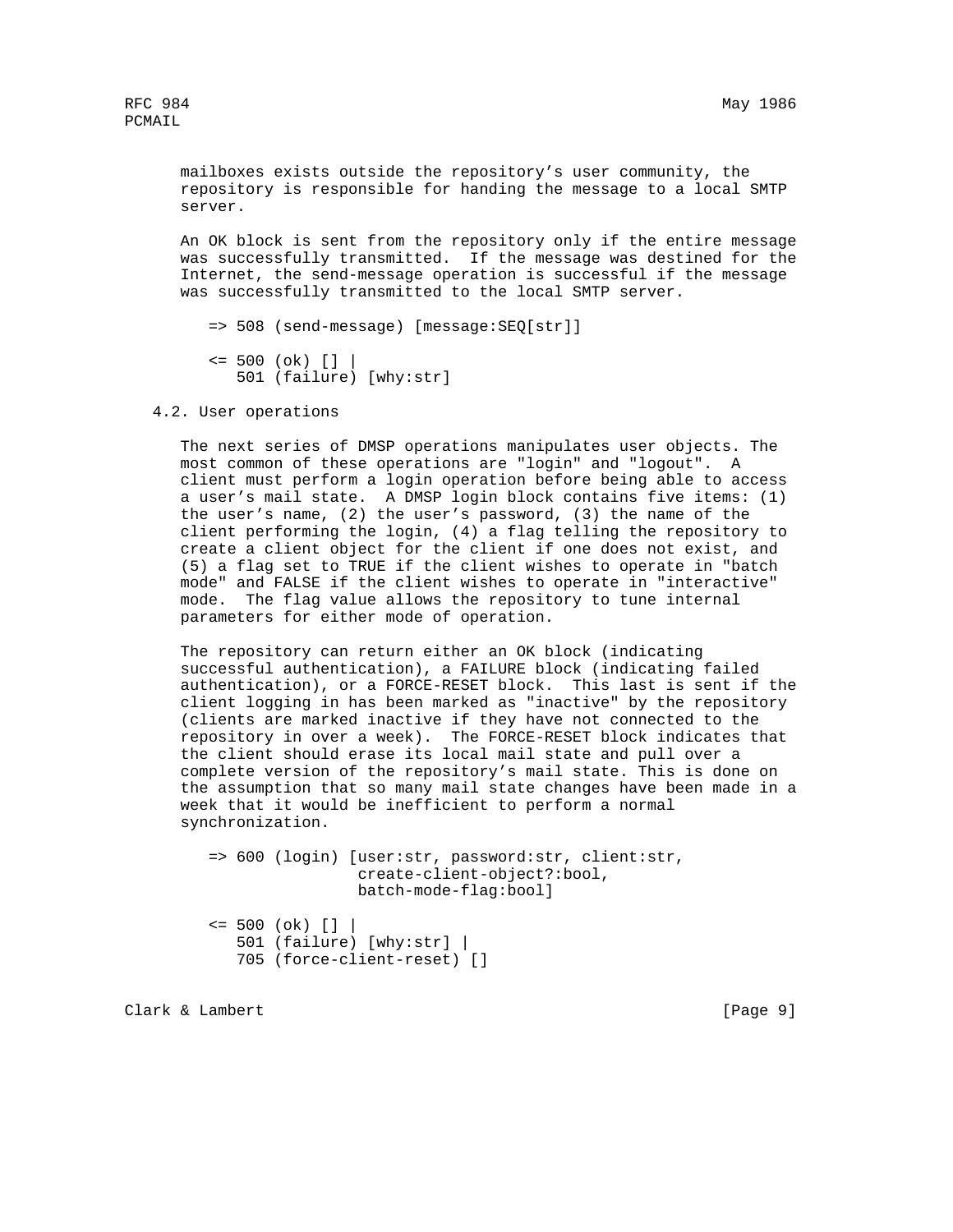mailboxes exists outside the repository's user community, the repository is responsible for handing the message to a local SMTP server.

 An OK block is sent from the repository only if the entire message was successfully transmitted. If the message was destined for the Internet, the send-message operation is successful if the message was successfully transmitted to the local SMTP server.

=> 508 (send-message) [message:SEQ[str]]

```
\le 500 (ok) [] | 501 (failure) [why:str]
```
4.2. User operations

 The next series of DMSP operations manipulates user objects. The most common of these operations are "login" and "logout". A client must perform a login operation before being able to access a user's mail state. A DMSP login block contains five items: (1) the user's name, (2) the user's password, (3) the name of the client performing the login, (4) a flag telling the repository to create a client object for the client if one does not exist, and (5) a flag set to TRUE if the client wishes to operate in "batch mode" and FALSE if the client wishes to operate in "interactive" mode. The flag value allows the repository to tune internal parameters for either mode of operation.

 The repository can return either an OK block (indicating successful authentication), a FAILURE block (indicating failed authentication), or a FORCE-RESET block. This last is sent if the client logging in has been marked as "inactive" by the repository (clients are marked inactive if they have not connected to the repository in over a week). The FORCE-RESET block indicates that the client should erase its local mail state and pull over a complete version of the repository's mail state. This is done on the assumption that so many mail state changes have been made in a week that it would be inefficient to perform a normal synchronization.

```
 => 600 (login) [user:str, password:str, client:str,
                 create-client-object?:bool,
                 batch-mode-flag:bool]
\le 500 (ok) [] | 501 (failure) [why:str] |
    705 (force-client-reset) []
```
Clark & Lambert [Page 9]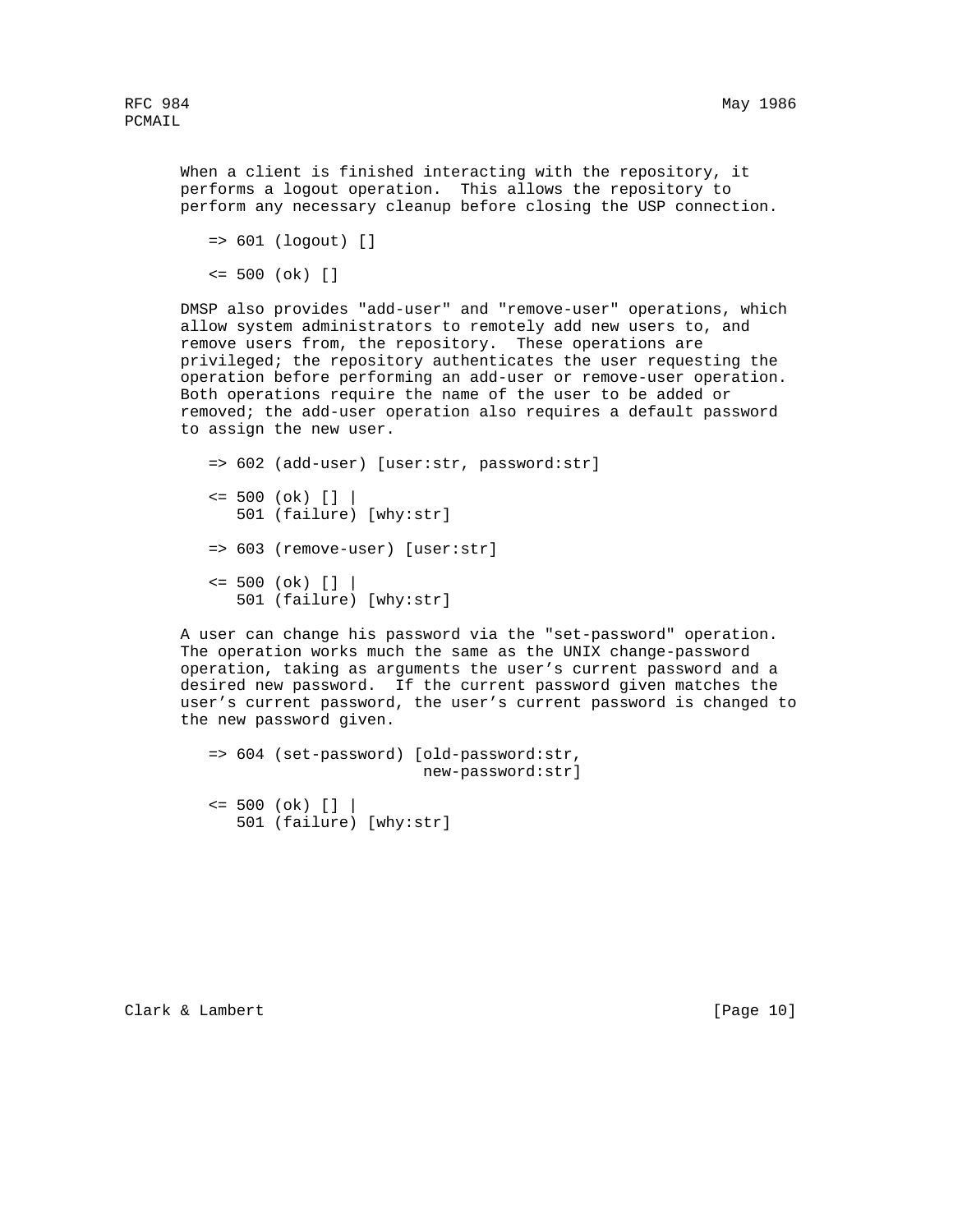When a client is finished interacting with the repository, it performs a logout operation. This allows the repository to perform any necessary cleanup before closing the USP connection.

```
 => 601 (logout) []
```

```
 <= 500 (ok) []
```
 DMSP also provides "add-user" and "remove-user" operations, which allow system administrators to remotely add new users to, and remove users from, the repository. These operations are privileged; the repository authenticates the user requesting the operation before performing an add-user or remove-user operation. Both operations require the name of the user to be added or removed; the add-user operation also requires a default password to assign the new user.

```
 => 602 (add-user) [user:str, password:str]
\le 500 (ok) [] | 501 (failure) [why:str]
 => 603 (remove-user) [user:str]
\le 500 (ok) [] | 501 (failure) [why:str]
```
 A user can change his password via the "set-password" operation. The operation works much the same as the UNIX change-password operation, taking as arguments the user's current password and a desired new password. If the current password given matches the user's current password, the user's current password is changed to the new password given.

```
 => 604 (set-password) [old-password:str,
                         new-password:str]
\le 500 (ok) [] | 501 (failure) [why:str]
```
Clark & Lambert [Page 10]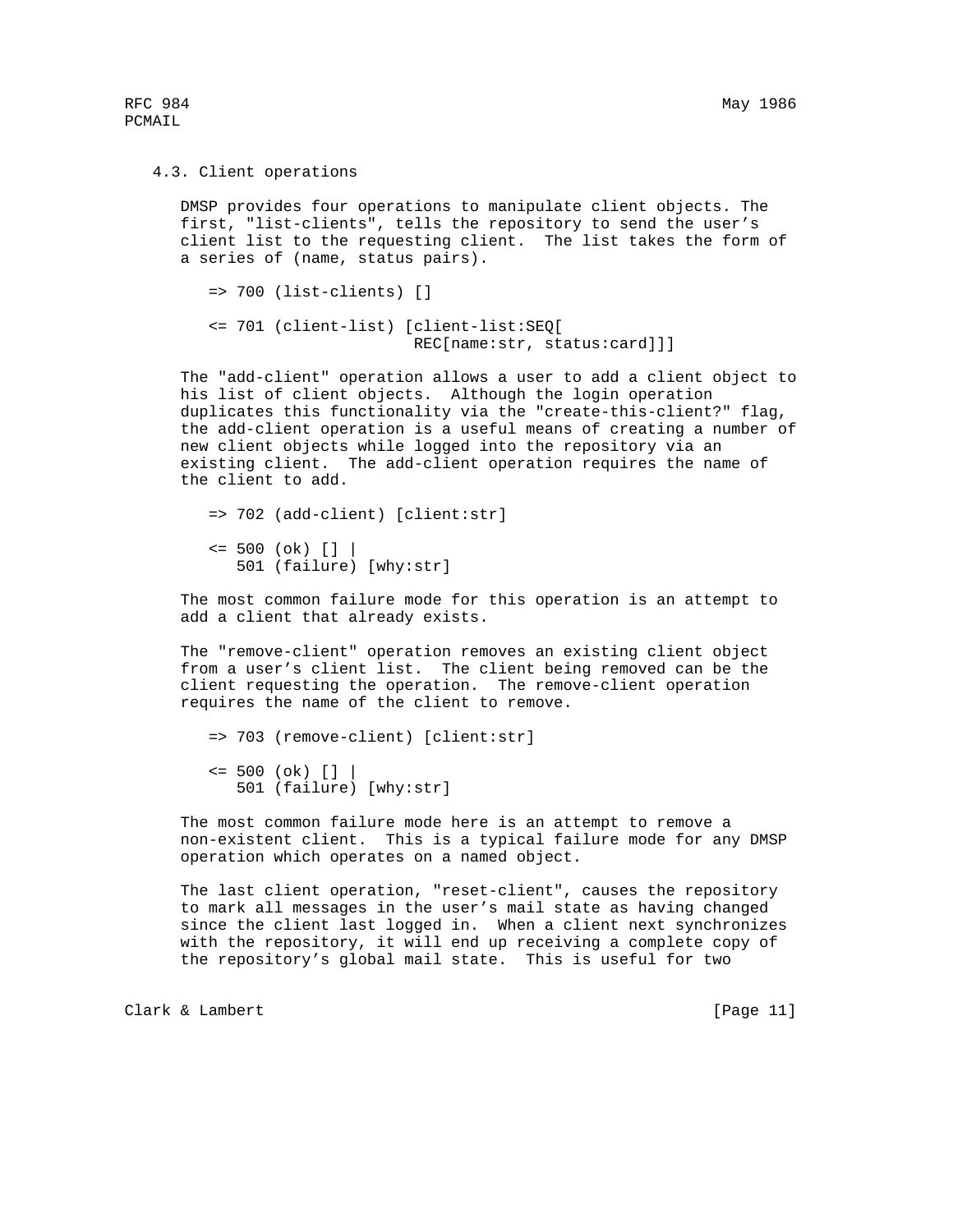## 4.3. Client operations

 DMSP provides four operations to manipulate client objects. The first, "list-clients", tells the repository to send the user's client list to the requesting client. The list takes the form of a series of (name, status pairs).

=> 700 (list-clients) []

 <= 701 (client-list) [client-list:SEQ[ REC[name:str, status:card]]]

 The "add-client" operation allows a user to add a client object to his list of client objects. Although the login operation duplicates this functionality via the "create-this-client?" flag, the add-client operation is a useful means of creating a number of new client objects while logged into the repository via an existing client. The add-client operation requires the name of the client to add.

 => 702 (add-client) [client:str]  $\le$  500 (ok) []  $|$ 501 (failure) [why:str]

 The most common failure mode for this operation is an attempt to add a client that already exists.

 The "remove-client" operation removes an existing client object from a user's client list. The client being removed can be the client requesting the operation. The remove-client operation requires the name of the client to remove.

 => 703 (remove-client) [client:str]  $\le$  500 (ok) []  $|$ 501 (failure) [why:str]

 The most common failure mode here is an attempt to remove a non-existent client. This is a typical failure mode for any DMSP operation which operates on a named object.

 The last client operation, "reset-client", causes the repository to mark all messages in the user's mail state as having changed since the client last logged in. When a client next synchronizes with the repository, it will end up receiving a complete copy of the repository's global mail state. This is useful for two

Clark & Lambert [Page 11]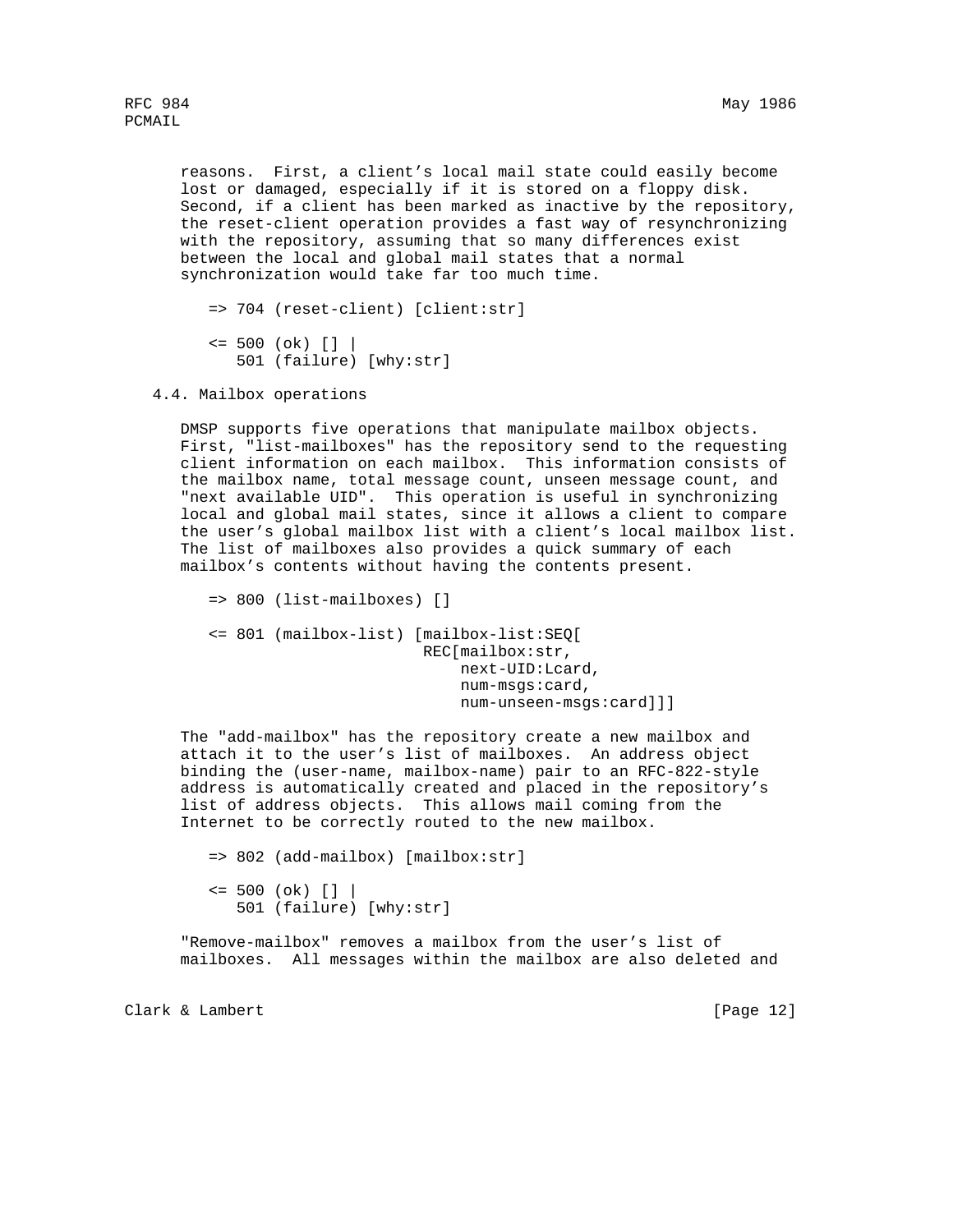reasons. First, a client's local mail state could easily become lost or damaged, especially if it is stored on a floppy disk. Second, if a client has been marked as inactive by the repository, the reset-client operation provides a fast way of resynchronizing with the repository, assuming that so many differences exist between the local and global mail states that a normal synchronization would take far too much time.

```
 => 704 (reset-client) [client:str]
\le 500 (ok) [] | 501 (failure) [why:str]
```
4.4. Mailbox operations

 DMSP supports five operations that manipulate mailbox objects. First, "list-mailboxes" has the repository send to the requesting client information on each mailbox. This information consists of the mailbox name, total message count, unseen message count, and "next available UID". This operation is useful in synchronizing local and global mail states, since it allows a client to compare the user's global mailbox list with a client's local mailbox list. The list of mailboxes also provides a quick summary of each mailbox's contents without having the contents present.

```
 => 800 (list-mailboxes) []
 <= 801 (mailbox-list) [mailbox-list:SEQ[
                         REC[mailbox:str,
                             next-UID:Lcard,
                             num-msgs:card,
                             num-unseen-msgs:card]]]
```
 The "add-mailbox" has the repository create a new mailbox and attach it to the user's list of mailboxes. An address object binding the (user-name, mailbox-name) pair to an RFC-822-style address is automatically created and placed in the repository's list of address objects. This allows mail coming from the Internet to be correctly routed to the new mailbox.

```
 => 802 (add-mailbox) [mailbox:str]
\le 500 (ok) [] | 501 (failure) [why:str]
```
 "Remove-mailbox" removes a mailbox from the user's list of mailboxes. All messages within the mailbox are also deleted and

Clark & Lambert [Page 12]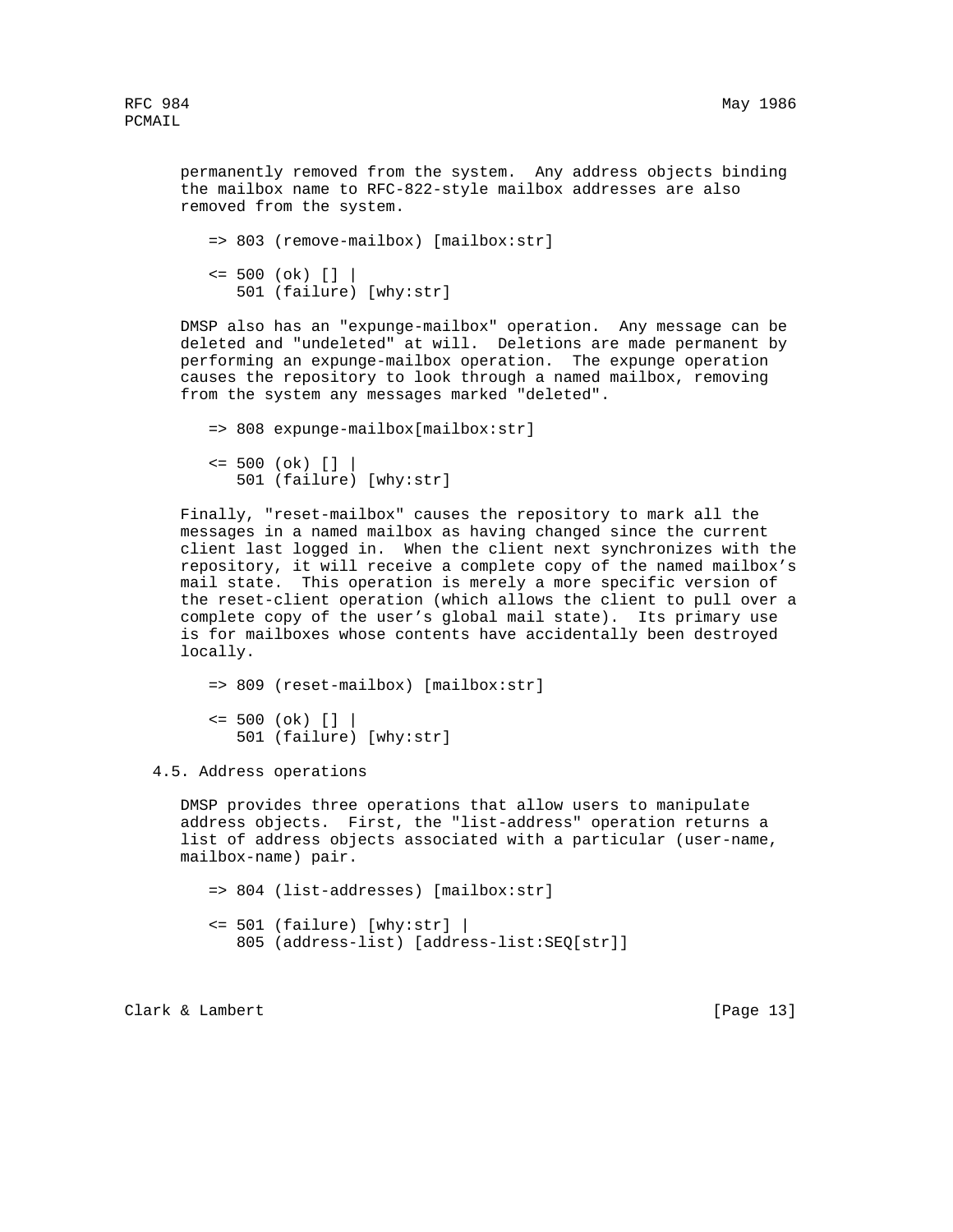permanently removed from the system. Any address objects binding the mailbox name to RFC-822-style mailbox addresses are also removed from the system.

```
 => 803 (remove-mailbox) [mailbox:str]
\le 500 (ok) [] | 501 (failure) [why:str]
```
 DMSP also has an "expunge-mailbox" operation. Any message can be deleted and "undeleted" at will. Deletions are made permanent by performing an expunge-mailbox operation. The expunge operation causes the repository to look through a named mailbox, removing from the system any messages marked "deleted".

```
 => 808 expunge-mailbox[mailbox:str]
\le 500 (ok) [] | 501 (failure) [why:str]
```
 Finally, "reset-mailbox" causes the repository to mark all the messages in a named mailbox as having changed since the current client last logged in. When the client next synchronizes with the repository, it will receive a complete copy of the named mailbox's mail state. This operation is merely a more specific version of the reset-client operation (which allows the client to pull over a complete copy of the user's global mail state). Its primary use is for mailboxes whose contents have accidentally been destroyed locally.

```
 => 809 (reset-mailbox) [mailbox:str]
\le 500 (ok) [] | 501 (failure) [why:str]
```
4.5. Address operations

 DMSP provides three operations that allow users to manipulate address objects. First, the "list-address" operation returns a list of address objects associated with a particular (user-name, mailbox-name) pair.

 => 804 (list-addresses) [mailbox:str] <= 501 (failure) [why:str] | 805 (address-list) [address-list:SEQ[str]]

Clark & Lambert [Page 13]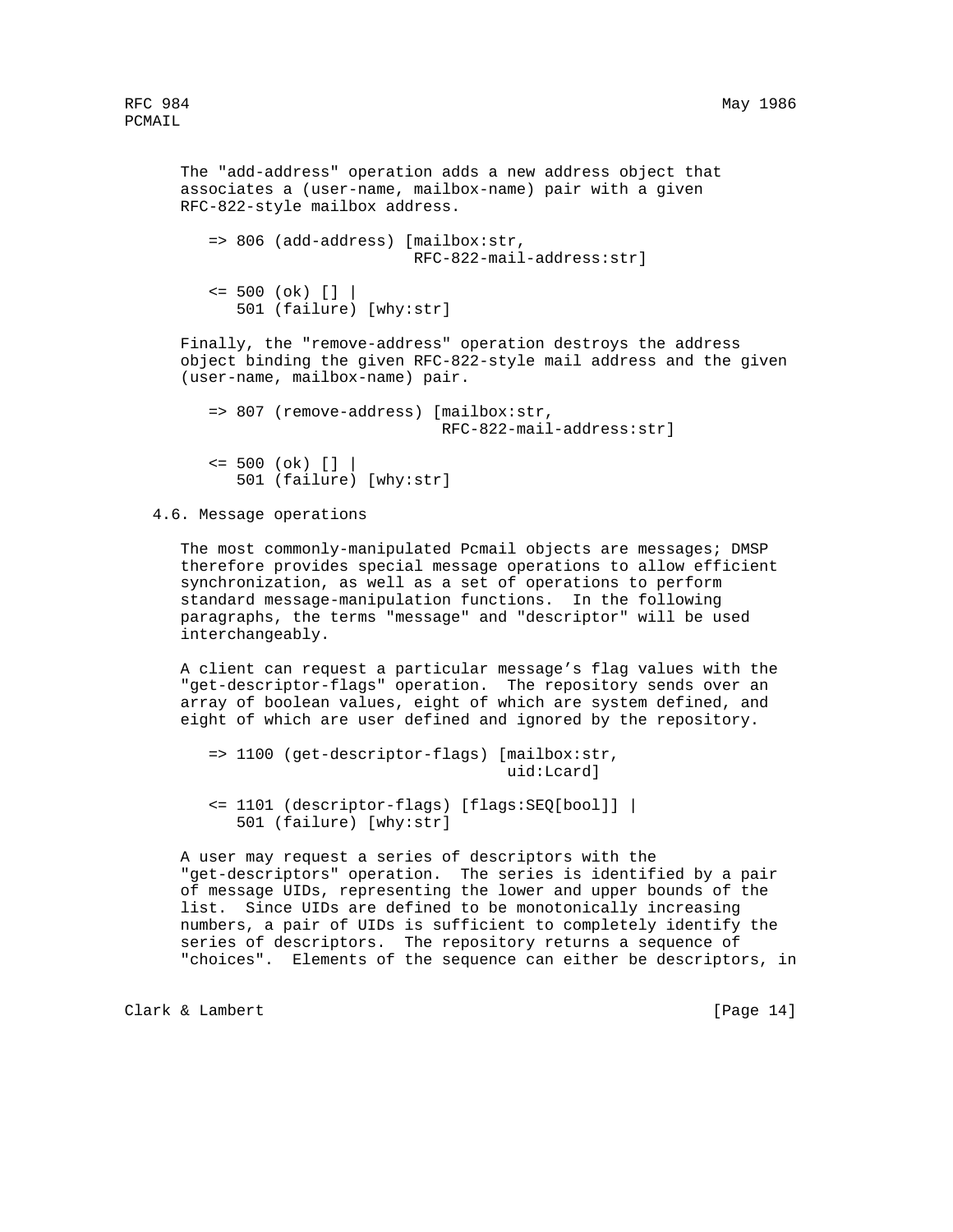```
 The "add-address" operation adds a new address object that
 associates a (user-name, mailbox-name) pair with a given
 RFC-822-style mailbox address.
    => 806 (add-address) [mailbox:str,
                          RFC-822-mail-address:str]
   \le 500 (ok) [] | 501 (failure) [why:str]
 Finally, the "remove-address" operation destroys the address
 object binding the given RFC-822-style mail address and the given
 (user-name, mailbox-name) pair.
    => 807 (remove-address) [mailbox:str,
                             RFC-822-mail-address:str]
```

```
\le 500 (ok) [] | 501 (failure) [why:str]
```
4.6. Message operations

 The most commonly-manipulated Pcmail objects are messages; DMSP therefore provides special message operations to allow efficient synchronization, as well as a set of operations to perform standard message-manipulation functions. In the following paragraphs, the terms "message" and "descriptor" will be used interchangeably.

 A client can request a particular message's flag values with the "get-descriptor-flags" operation. The repository sends over an array of boolean values, eight of which are system defined, and eight of which are user defined and ignored by the repository.

```
 => 1100 (get-descriptor-flags) [mailbox:str,
                                  uid:Lcard]
 <= 1101 (descriptor-flags) [flags:SEQ[bool]] |
    501 (failure) [why:str]
```
 A user may request a series of descriptors with the "get-descriptors" operation. The series is identified by a pair of message UIDs, representing the lower and upper bounds of the list. Since UIDs are defined to be monotonically increasing numbers, a pair of UIDs is sufficient to completely identify the series of descriptors. The repository returns a sequence of "choices". Elements of the sequence can either be descriptors, in

Clark & Lambert [Page 14]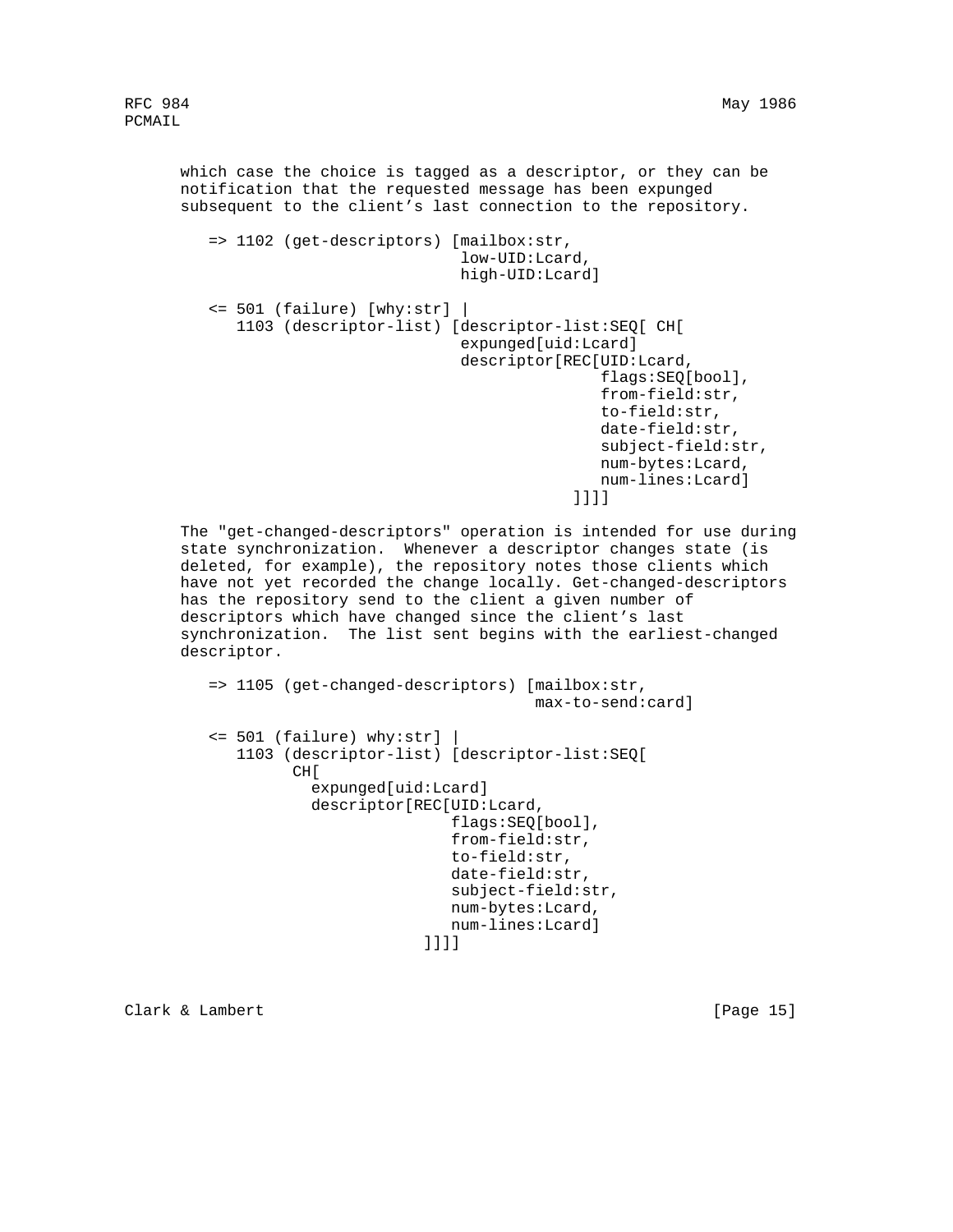which case the choice is tagged as a descriptor, or they can be notification that the requested message has been expunged subsequent to the client's last connection to the repository.

```
 => 1102 (get-descriptors) [mailbox:str,
                                   low-UID:Lcard,
                                   high-UID:Lcard]
         <= 501 (failure) [why:str] |
            1103 (descriptor-list) [descriptor-list:SEQ[ CH[
                                   expunged[uid:Lcard]
                                   descriptor[REC[UID:Lcard,
                                                  flags:SEQ[bool],
                                                  from-field:str,
                                                  to-field:str,
                                                  date-field:str,
                                                  subject-field:str,
                                                  num-bytes:Lcard,
                                                  num-lines:Lcard]
\blacksquare]]]]]
```
 The "get-changed-descriptors" operation is intended for use during state synchronization. Whenever a descriptor changes state (is deleted, for example), the repository notes those clients which have not yet recorded the change locally. Get-changed-descriptors has the repository send to the client a given number of descriptors which have changed since the client's last synchronization. The list sent begins with the earliest-changed descriptor.

```
 => 1105 (get-changed-descriptors) [mailbox:str,
                                             max-to-send:card]
          <= 501 (failure) why:str] |
             1103 (descriptor-list) [descriptor-list:SEQ[
                   CH[
                     expunged[uid:Lcard]
                     descriptor[REC[UID:Lcard,
                                    flags:SEQ[bool],
                                    from-field:str,
                                    to-field:str,
                                    date-field:str,
                                    subject-field:str,
                                    num-bytes:Lcard,
                                num-lines:Lcard]<br>]]]]
\blacksquare]]]]
```
Clark & Lambert [Page 15]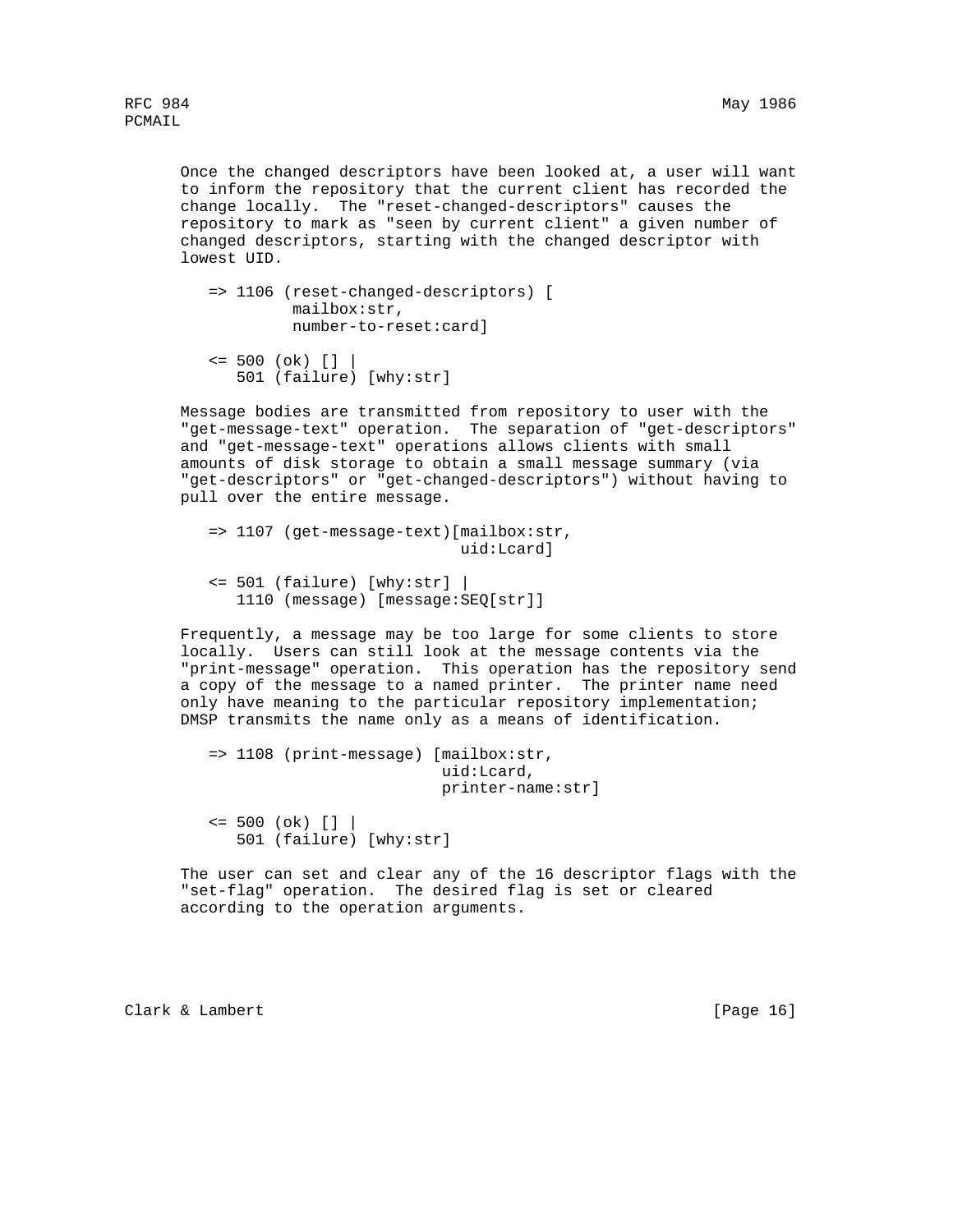Once the changed descriptors have been looked at, a user will want to inform the repository that the current client has recorded the change locally. The "reset-changed-descriptors" causes the repository to mark as "seen by current client" a given number of changed descriptors, starting with the changed descriptor with lowest UID.

```
 => 1106 (reset-changed-descriptors) [
          mailbox:str,
          number-to-reset:card]
```

```
 <= 500 (ok) [] |
    501 (failure) [why:str]
```
 Message bodies are transmitted from repository to user with the "get-message-text" operation. The separation of "get-descriptors" and "get-message-text" operations allows clients with small amounts of disk storage to obtain a small message summary (via "get-descriptors" or "get-changed-descriptors") without having to pull over the entire message.

```
 => 1107 (get-message-text)[mailbox:str,
                             uid:Lcard]
```

```
 <= 501 (failure) [why:str] |
    1110 (message) [message:SEQ[str]]
```
 Frequently, a message may be too large for some clients to store locally. Users can still look at the message contents via the "print-message" operation. This operation has the repository send a copy of the message to a named printer. The printer name need only have meaning to the particular repository implementation; DMSP transmits the name only as a means of identification.

```
 => 1108 (print-message) [mailbox:str,
                           uid:Lcard,
                           printer-name:str]
```
 $\le$  500 (ok) [] | 501 (failure) [why:str]

 The user can set and clear any of the 16 descriptor flags with the "set-flag" operation. The desired flag is set or cleared according to the operation arguments.

Clark & Lambert [Page 16]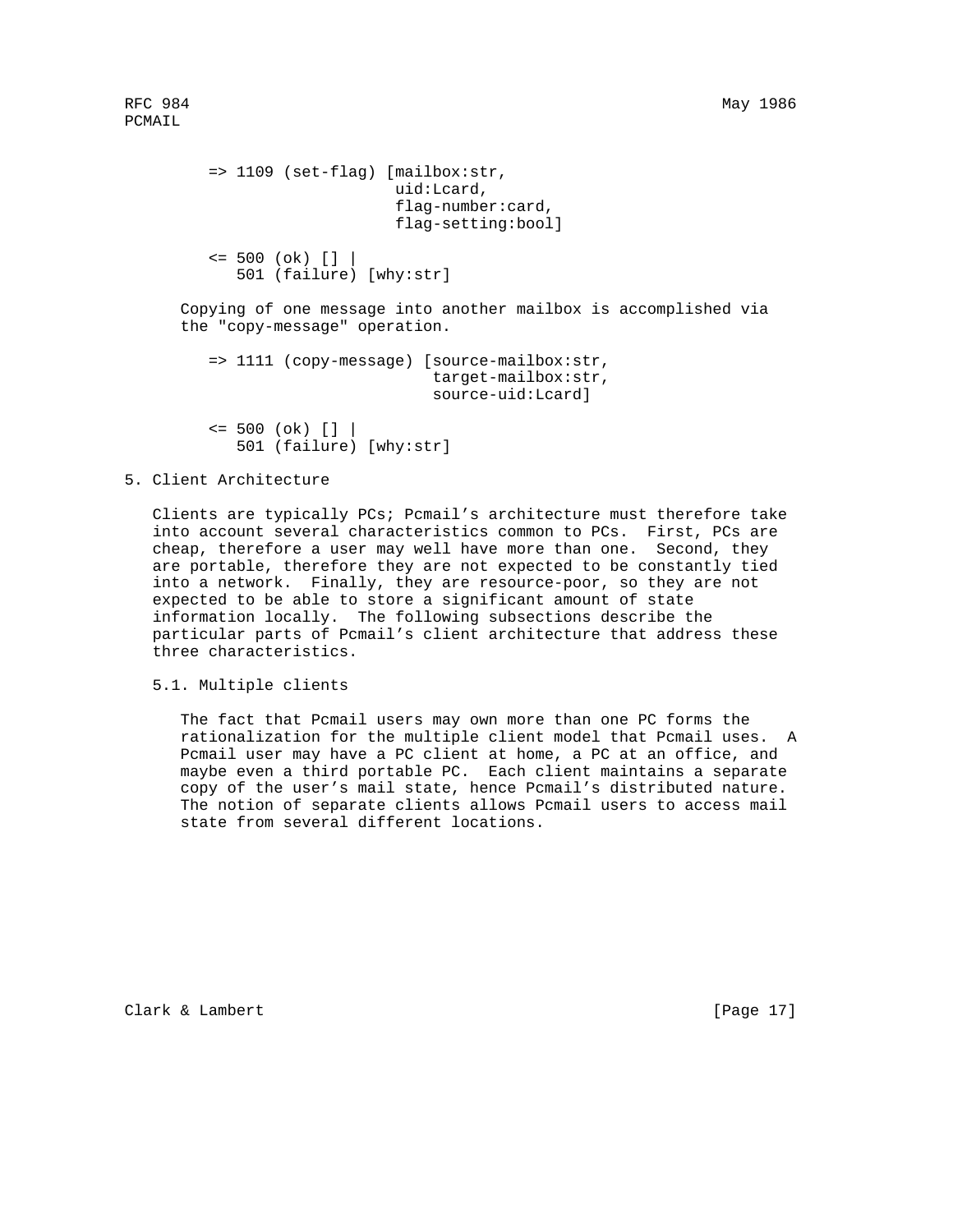```
 => 1109 (set-flag) [mailbox:str,
                         uid:Lcard,
                         flag-number:card,
                         flag-setting:bool]
   \le 500 (ok) [] | 501 (failure) [why:str]
 Copying of one message into another mailbox is accomplished via
 the "copy-message" operation.
    => 1111 (copy-message) [source-mailbox:str,
                             target-mailbox:str,
                             source-uid:Lcard]
   \le 500 (ok) [] |
```
501 (failure) [why:str]

# 5. Client Architecture

 Clients are typically PCs; Pcmail's architecture must therefore take into account several characteristics common to PCs. First, PCs are cheap, therefore a user may well have more than one. Second, they are portable, therefore they are not expected to be constantly tied into a network. Finally, they are resource-poor, so they are not expected to be able to store a significant amount of state information locally. The following subsections describe the particular parts of Pcmail's client architecture that address these three characteristics.

5.1. Multiple clients

 The fact that Pcmail users may own more than one PC forms the rationalization for the multiple client model that Pcmail uses. A Pcmail user may have a PC client at home, a PC at an office, and maybe even a third portable PC. Each client maintains a separate copy of the user's mail state, hence Pcmail's distributed nature. The notion of separate clients allows Pcmail users to access mail state from several different locations.

Clark & Lambert [Page 17]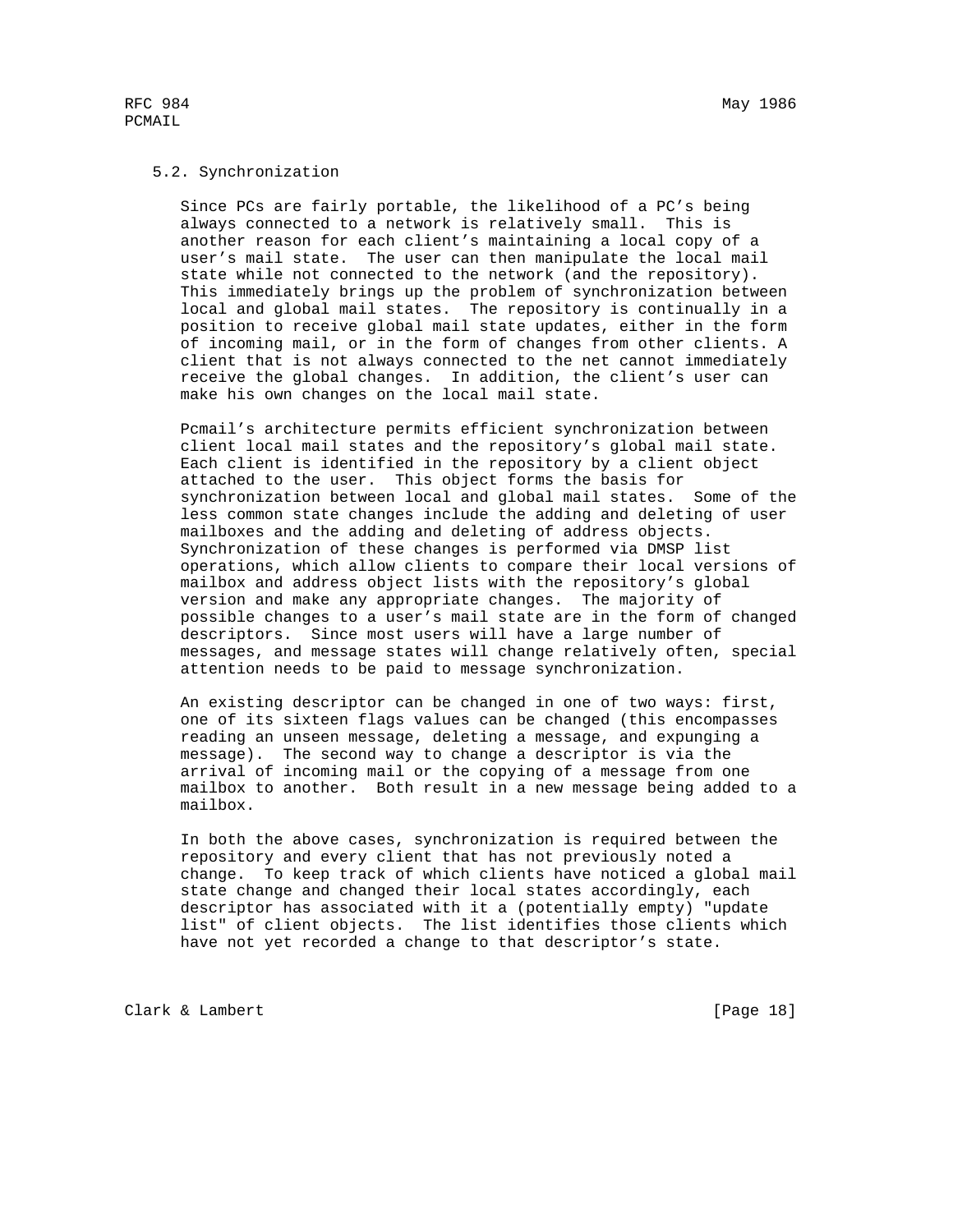#### 5.2. Synchronization

 Since PCs are fairly portable, the likelihood of a PC's being always connected to a network is relatively small. This is another reason for each client's maintaining a local copy of a user's mail state. The user can then manipulate the local mail state while not connected to the network (and the repository). This immediately brings up the problem of synchronization between local and global mail states. The repository is continually in a position to receive global mail state updates, either in the form of incoming mail, or in the form of changes from other clients. A client that is not always connected to the net cannot immediately receive the global changes. In addition, the client's user can make his own changes on the local mail state.

 Pcmail's architecture permits efficient synchronization between client local mail states and the repository's global mail state. Each client is identified in the repository by a client object attached to the user. This object forms the basis for synchronization between local and global mail states. Some of the less common state changes include the adding and deleting of user mailboxes and the adding and deleting of address objects. Synchronization of these changes is performed via DMSP list operations, which allow clients to compare their local versions of mailbox and address object lists with the repository's global version and make any appropriate changes. The majority of possible changes to a user's mail state are in the form of changed descriptors. Since most users will have a large number of messages, and message states will change relatively often, special attention needs to be paid to message synchronization.

 An existing descriptor can be changed in one of two ways: first, one of its sixteen flags values can be changed (this encompasses reading an unseen message, deleting a message, and expunging a message). The second way to change a descriptor is via the arrival of incoming mail or the copying of a message from one mailbox to another. Both result in a new message being added to a mailbox.

 In both the above cases, synchronization is required between the repository and every client that has not previously noted a change. To keep track of which clients have noticed a global mail state change and changed their local states accordingly, each descriptor has associated with it a (potentially empty) "update list" of client objects. The list identifies those clients which have not yet recorded a change to that descriptor's state.

Clark & Lambert [Page 18]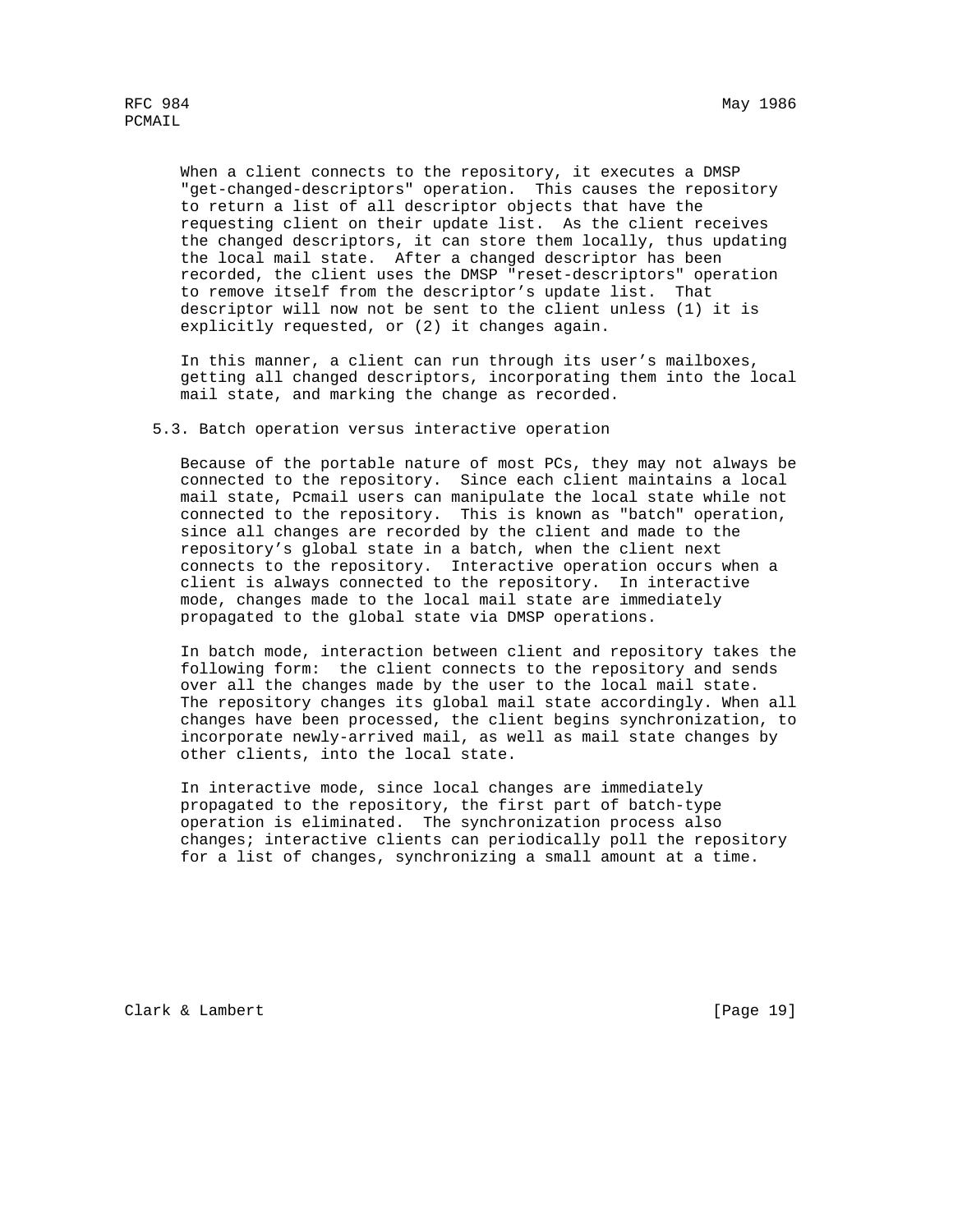When a client connects to the repository, it executes a DMSP "get-changed-descriptors" operation. This causes the repository to return a list of all descriptor objects that have the requesting client on their update list. As the client receives the changed descriptors, it can store them locally, thus updating the local mail state. After a changed descriptor has been recorded, the client uses the DMSP "reset-descriptors" operation to remove itself from the descriptor's update list. That descriptor will now not be sent to the client unless (1) it is explicitly requested, or (2) it changes again.

 In this manner, a client can run through its user's mailboxes, getting all changed descriptors, incorporating them into the local mail state, and marking the change as recorded.

5.3. Batch operation versus interactive operation

 Because of the portable nature of most PCs, they may not always be connected to the repository. Since each client maintains a local mail state, Pcmail users can manipulate the local state while not connected to the repository. This is known as "batch" operation, since all changes are recorded by the client and made to the repository's global state in a batch, when the client next connects to the repository. Interactive operation occurs when a client is always connected to the repository. In interactive mode, changes made to the local mail state are immediately propagated to the global state via DMSP operations.

 In batch mode, interaction between client and repository takes the following form: the client connects to the repository and sends over all the changes made by the user to the local mail state. The repository changes its global mail state accordingly. When all changes have been processed, the client begins synchronization, to incorporate newly-arrived mail, as well as mail state changes by other clients, into the local state.

 In interactive mode, since local changes are immediately propagated to the repository, the first part of batch-type operation is eliminated. The synchronization process also changes; interactive clients can periodically poll the repository for a list of changes, synchronizing a small amount at a time.

Clark & Lambert [Page 19]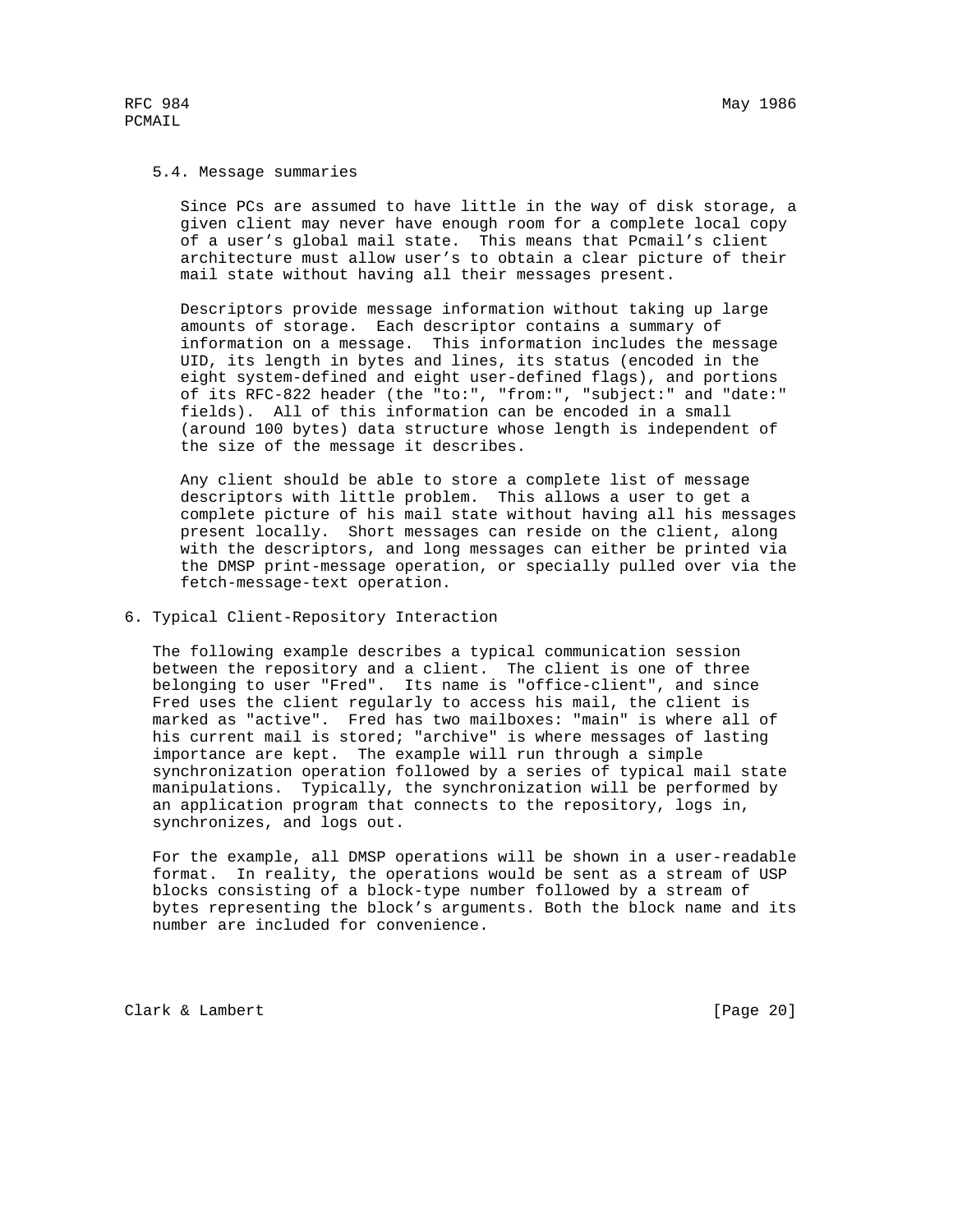## 5.4. Message summaries

 Since PCs are assumed to have little in the way of disk storage, a given client may never have enough room for a complete local copy of a user's global mail state. This means that Pcmail's client architecture must allow user's to obtain a clear picture of their mail state without having all their messages present.

 Descriptors provide message information without taking up large amounts of storage. Each descriptor contains a summary of information on a message. This information includes the message UID, its length in bytes and lines, its status (encoded in the eight system-defined and eight user-defined flags), and portions of its RFC-822 header (the "to:", "from:", "subject:" and "date:" fields). All of this information can be encoded in a small (around 100 bytes) data structure whose length is independent of the size of the message it describes.

 Any client should be able to store a complete list of message descriptors with little problem. This allows a user to get a complete picture of his mail state without having all his messages present locally. Short messages can reside on the client, along with the descriptors, and long messages can either be printed via the DMSP print-message operation, or specially pulled over via the fetch-message-text operation.

6. Typical Client-Repository Interaction

 The following example describes a typical communication session between the repository and a client. The client is one of three belonging to user "Fred". Its name is "office-client", and since Fred uses the client regularly to access his mail, the client is marked as "active". Fred has two mailboxes: "main" is where all of his current mail is stored; "archive" is where messages of lasting importance are kept. The example will run through a simple synchronization operation followed by a series of typical mail state manipulations. Typically, the synchronization will be performed by an application program that connects to the repository, logs in, synchronizes, and logs out.

 For the example, all DMSP operations will be shown in a user-readable format. In reality, the operations would be sent as a stream of USP blocks consisting of a block-type number followed by a stream of bytes representing the block's arguments. Both the block name and its number are included for convenience.

Clark & Lambert [Page 20]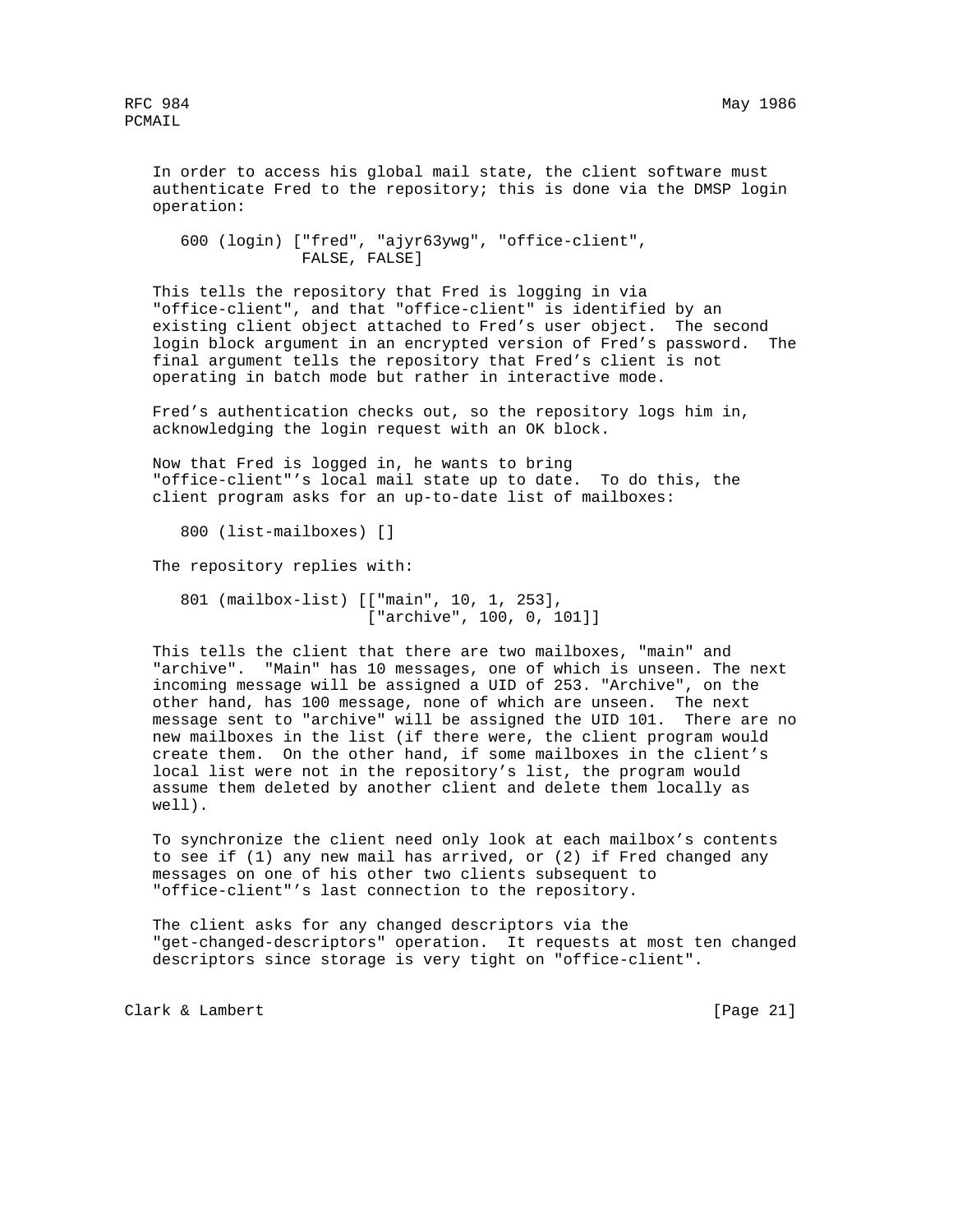In order to access his global mail state, the client software must authenticate Fred to the repository; this is done via the DMSP login operation:

 600 (login) ["fred", "ajyr63ywg", "office-client", FALSE, FALSE]

 This tells the repository that Fred is logging in via "office-client", and that "office-client" is identified by an existing client object attached to Fred's user object. The second login block argument in an encrypted version of Fred's password. The final argument tells the repository that Fred's client is not operating in batch mode but rather in interactive mode.

 Fred's authentication checks out, so the repository logs him in, acknowledging the login request with an OK block.

 Now that Fred is logged in, he wants to bring "office-client"'s local mail state up to date. To do this, the client program asks for an up-to-date list of mailboxes:

800 (list-mailboxes) []

The repository replies with:

 801 (mailbox-list) [["main", 10, 1, 253], ["archive", 100, 0, 101]]

 This tells the client that there are two mailboxes, "main" and "archive". "Main" has 10 messages, one of which is unseen. The next incoming message will be assigned a UID of 253. "Archive", on the other hand, has 100 message, none of which are unseen. The next message sent to "archive" will be assigned the UID 101. There are no new mailboxes in the list (if there were, the client program would create them. On the other hand, if some mailboxes in the client's local list were not in the repository's list, the program would assume them deleted by another client and delete them locally as well).

 To synchronize the client need only look at each mailbox's contents to see if (1) any new mail has arrived, or (2) if Fred changed any messages on one of his other two clients subsequent to "office-client"'s last connection to the repository.

 The client asks for any changed descriptors via the "get-changed-descriptors" operation. It requests at most ten changed descriptors since storage is very tight on "office-client".

Clark & Lambert [Page 21]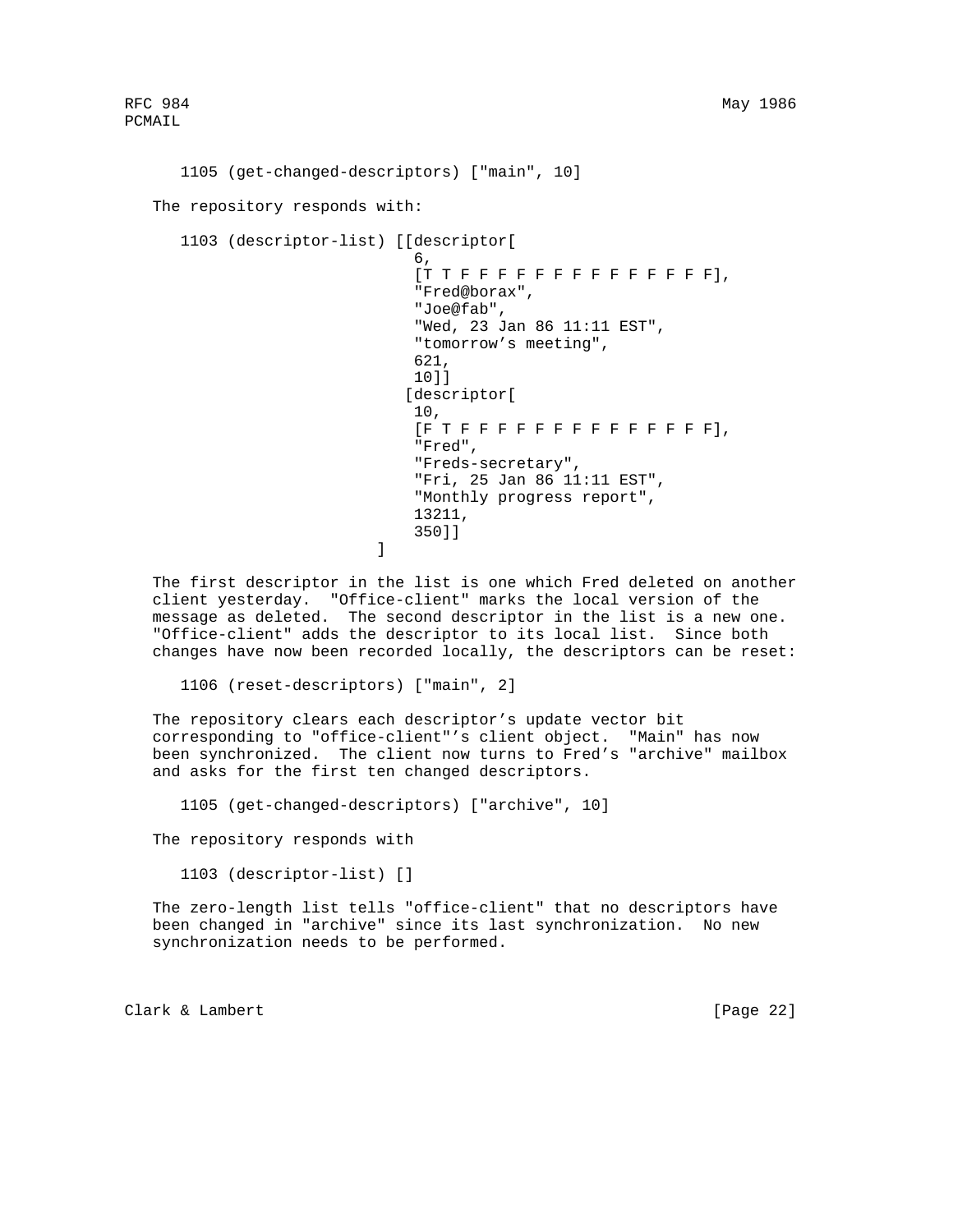```
 1105 (get-changed-descriptors) ["main", 10]
   The repository responds with:
      1103 (descriptor-list) [[descriptor[
\sim 6,
                              [TT F F F F F F F F F F F F F F F], "Fred@borax",
                               "Joe@fab",
                               "Wed, 23 Jan 86 11:11 EST",
                               "tomorrow's meeting",
621, 10]]
                               [descriptor[
10 ,
                               [F T F F F F F F F F F F F F F F],
                               "Fred",
                               "Freds-secretary",
                               "Fri, 25 Jan 86 11:11 EST",
                               "Monthly progress report",
                               13211,
                           350]]<br>]
\mathbb{R}^n and \mathbb{R}^n are the set of \mathbb{R}^n . In the set of \mathbb{R}^n
```
 The first descriptor in the list is one which Fred deleted on another client yesterday. "Office-client" marks the local version of the message as deleted. The second descriptor in the list is a new one. "Office-client" adds the descriptor to its local list. Since both changes have now been recorded locally, the descriptors can be reset:

1106 (reset-descriptors) ["main", 2]

 The repository clears each descriptor's update vector bit corresponding to "office-client"'s client object. "Main" has now been synchronized. The client now turns to Fred's "archive" mailbox and asks for the first ten changed descriptors.

1105 (get-changed-descriptors) ["archive", 10]

The repository responds with

1103 (descriptor-list) []

 The zero-length list tells "office-client" that no descriptors have been changed in "archive" since its last synchronization. No new synchronization needs to be performed.

Clark & Lambert [Page 22]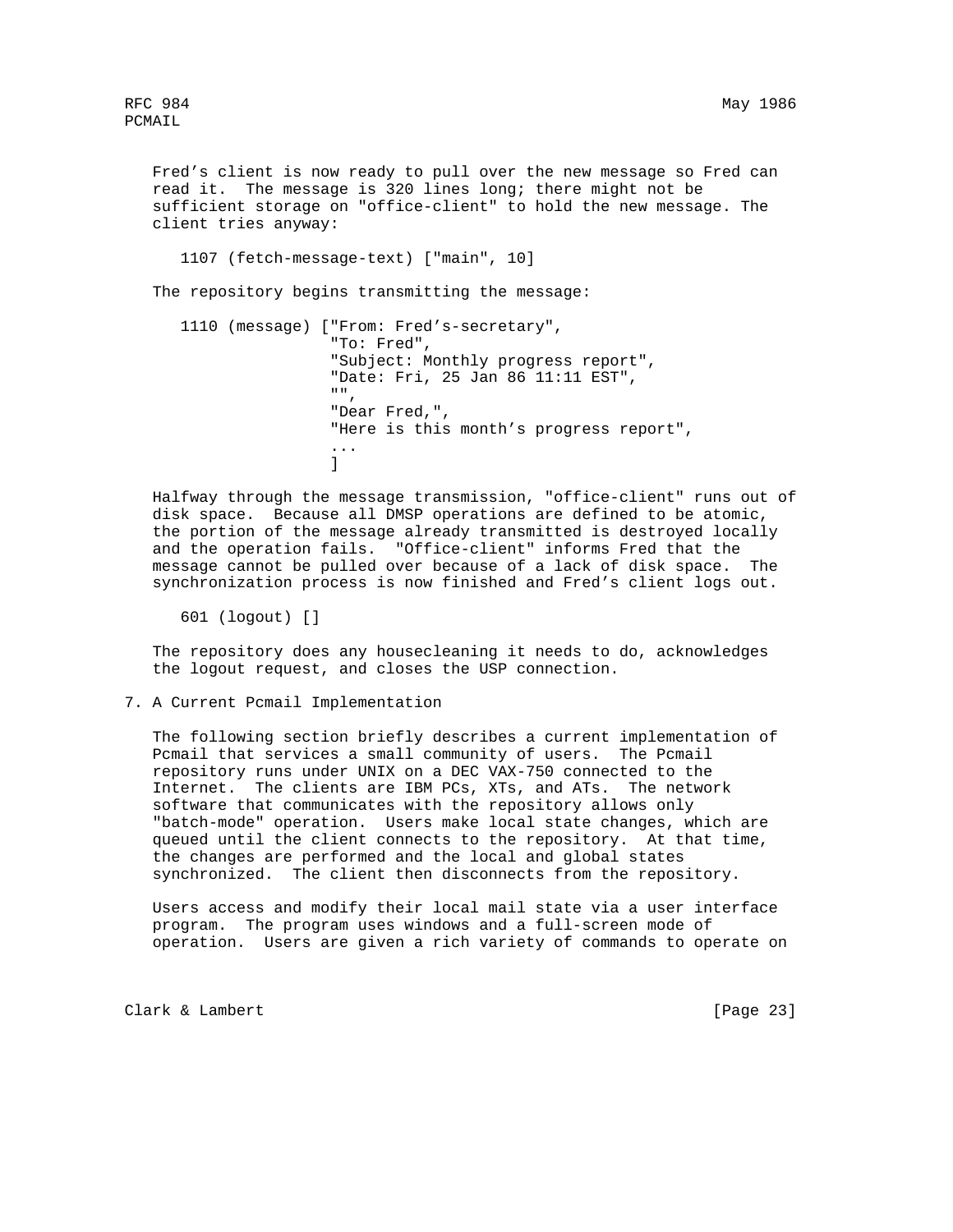Fred's client is now ready to pull over the new message so Fred can read it. The message is 320 lines long; there might not be sufficient storage on "office-client" to hold the new message. The client tries anyway:

1107 (fetch-message-text) ["main", 10]

The repository begins transmitting the message:

 1110 (message) ["From: Fred's-secretary", "To: Fred", "Subject: Monthly progress report", "Date: Fri, 25 Jan 86 11:11 EST", "", "Dear Fred,", "Here is this month's progress report", ...  $\sim$  100  $\sim$  100  $\sim$  100  $\sim$  100  $\sim$  100  $\sim$  100  $\sim$  100  $\sim$  100  $\sim$  100  $\sim$  100  $\sim$  100  $\sim$  100  $\sim$  100  $\sim$  100  $\sim$  100  $\sim$  100  $\sim$  100  $\sim$  100  $\sim$  100  $\sim$  100  $\sim$  100  $\sim$  100  $\sim$  100  $\sim$  100  $\sim$ 

 Halfway through the message transmission, "office-client" runs out of disk space. Because all DMSP operations are defined to be atomic, the portion of the message already transmitted is destroyed locally and the operation fails. "Office-client" informs Fred that the message cannot be pulled over because of a lack of disk space. The synchronization process is now finished and Fred's client logs out.

601 (logout) []

 The repository does any housecleaning it needs to do, acknowledges the logout request, and closes the USP connection.

7. A Current Pcmail Implementation

 The following section briefly describes a current implementation of Pcmail that services a small community of users. The Pcmail repository runs under UNIX on a DEC VAX-750 connected to the Internet. The clients are IBM PCs, XTs, and ATs. The network software that communicates with the repository allows only "batch-mode" operation. Users make local state changes, which are queued until the client connects to the repository. At that time, the changes are performed and the local and global states synchronized. The client then disconnects from the repository.

 Users access and modify their local mail state via a user interface program. The program uses windows and a full-screen mode of operation. Users are given a rich variety of commands to operate on

Clark & Lambert [Page 23]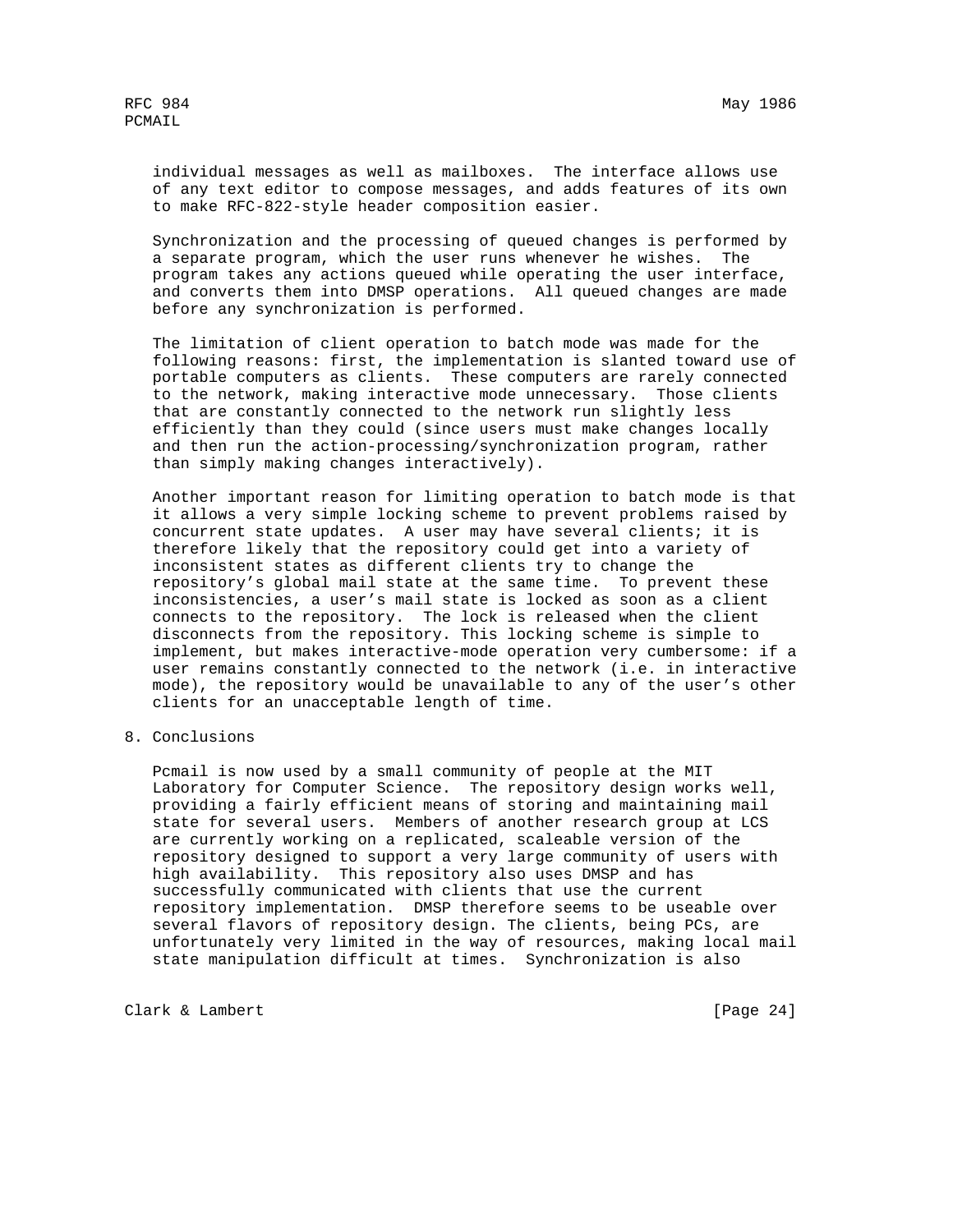individual messages as well as mailboxes. The interface allows use of any text editor to compose messages, and adds features of its own to make RFC-822-style header composition easier.

 Synchronization and the processing of queued changes is performed by a separate program, which the user runs whenever he wishes. The program takes any actions queued while operating the user interface, and converts them into DMSP operations. All queued changes are made before any synchronization is performed.

 The limitation of client operation to batch mode was made for the following reasons: first, the implementation is slanted toward use of portable computers as clients. These computers are rarely connected to the network, making interactive mode unnecessary. Those clients that are constantly connected to the network run slightly less efficiently than they could (since users must make changes locally and then run the action-processing/synchronization program, rather than simply making changes interactively).

 Another important reason for limiting operation to batch mode is that it allows a very simple locking scheme to prevent problems raised by concurrent state updates. A user may have several clients; it is therefore likely that the repository could get into a variety of inconsistent states as different clients try to change the repository's global mail state at the same time. To prevent these inconsistencies, a user's mail state is locked as soon as a client connects to the repository. The lock is released when the client disconnects from the repository. This locking scheme is simple to implement, but makes interactive-mode operation very cumbersome: if a user remains constantly connected to the network (i.e. in interactive mode), the repository would be unavailable to any of the user's other clients for an unacceptable length of time.

8. Conclusions

 Pcmail is now used by a small community of people at the MIT Laboratory for Computer Science. The repository design works well, providing a fairly efficient means of storing and maintaining mail state for several users. Members of another research group at LCS are currently working on a replicated, scaleable version of the repository designed to support a very large community of users with high availability. This repository also uses DMSP and has successfully communicated with clients that use the current repository implementation. DMSP therefore seems to be useable over several flavors of repository design. The clients, being PCs, are unfortunately very limited in the way of resources, making local mail state manipulation difficult at times. Synchronization is also

Clark & Lambert [Page 24]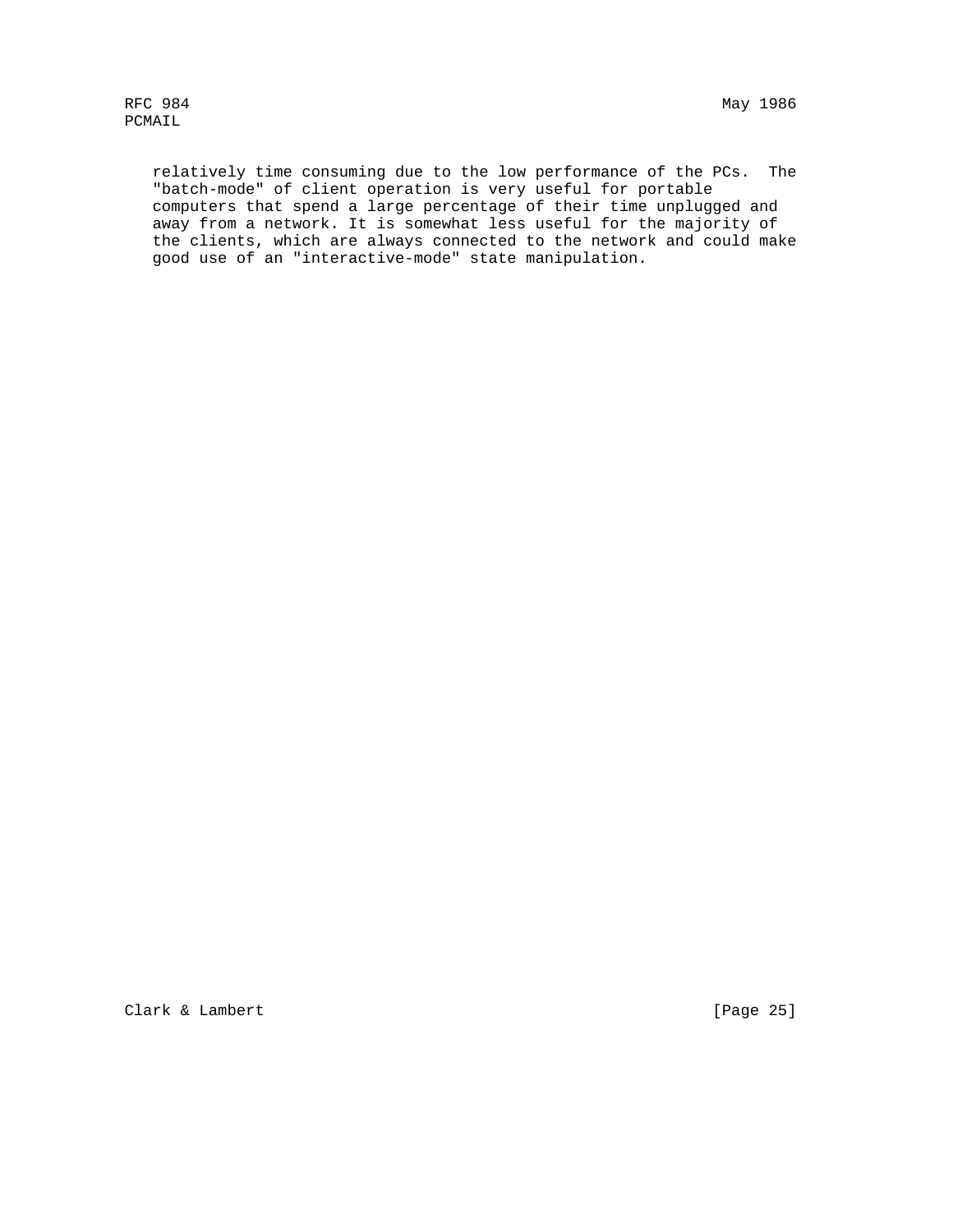relatively time consuming due to the low performance of the PCs. The "batch-mode" of client operation is very useful for portable computers that spend a large percentage of their time unplugged and away from a network. It is somewhat less useful for the majority of the clients, which are always connected to the network and could make good use of an "interactive-mode" state manipulation.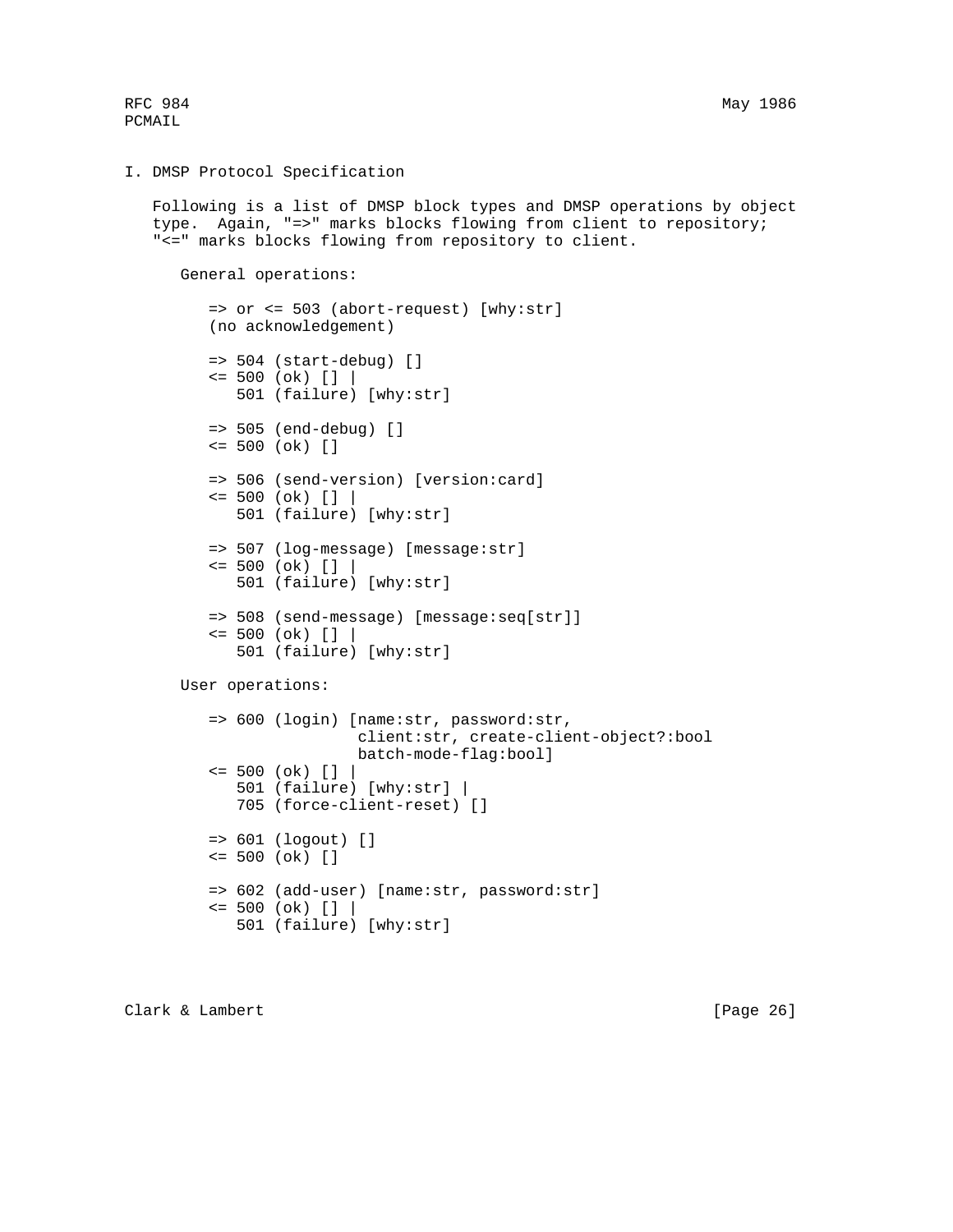RFC 984 May 1986

PCMAIL

#### I. DMSP Protocol Specification

 Following is a list of DMSP block types and DMSP operations by object type. Again, "=>" marks blocks flowing from client to repository; "<=" marks blocks flowing from repository to client.

General operations:

```
 => or <= 503 (abort-request) [why:str]
 (no acknowledgement)
```

```
 => 504 (start-debug) []
\le 500 (ok) [] | 501 (failure) [why:str]
 => 505 (end-debug) []
 <= 500 (ok) []
 => 506 (send-version) [version:card]
\le 500 (ok) [] |
```
501 (failure) [why:str]

```
 => 507 (log-message) [message:str]
\le 500 (ok) [] |
    501 (failure) [why:str]
```

```
 => 508 (send-message) [message:seq[str]]
\le 500 (ok) [] | 501 (failure) [why:str]
```
User operations:

```
 => 600 (login) [name:str, password:str,
                 client:str, create-client-object?:bool
                 batch-mode-flag:bool]
\le 500 (ok) [] |
    501 (failure) [why:str] |
    705 (force-client-reset) []
 => 601 (logout) []
 <= 500 (ok) []
 => 602 (add-user) [name:str, password:str]
\le 500 (ok) []
    501 (failure) [why:str]
```
Clark & Lambert [Page 26]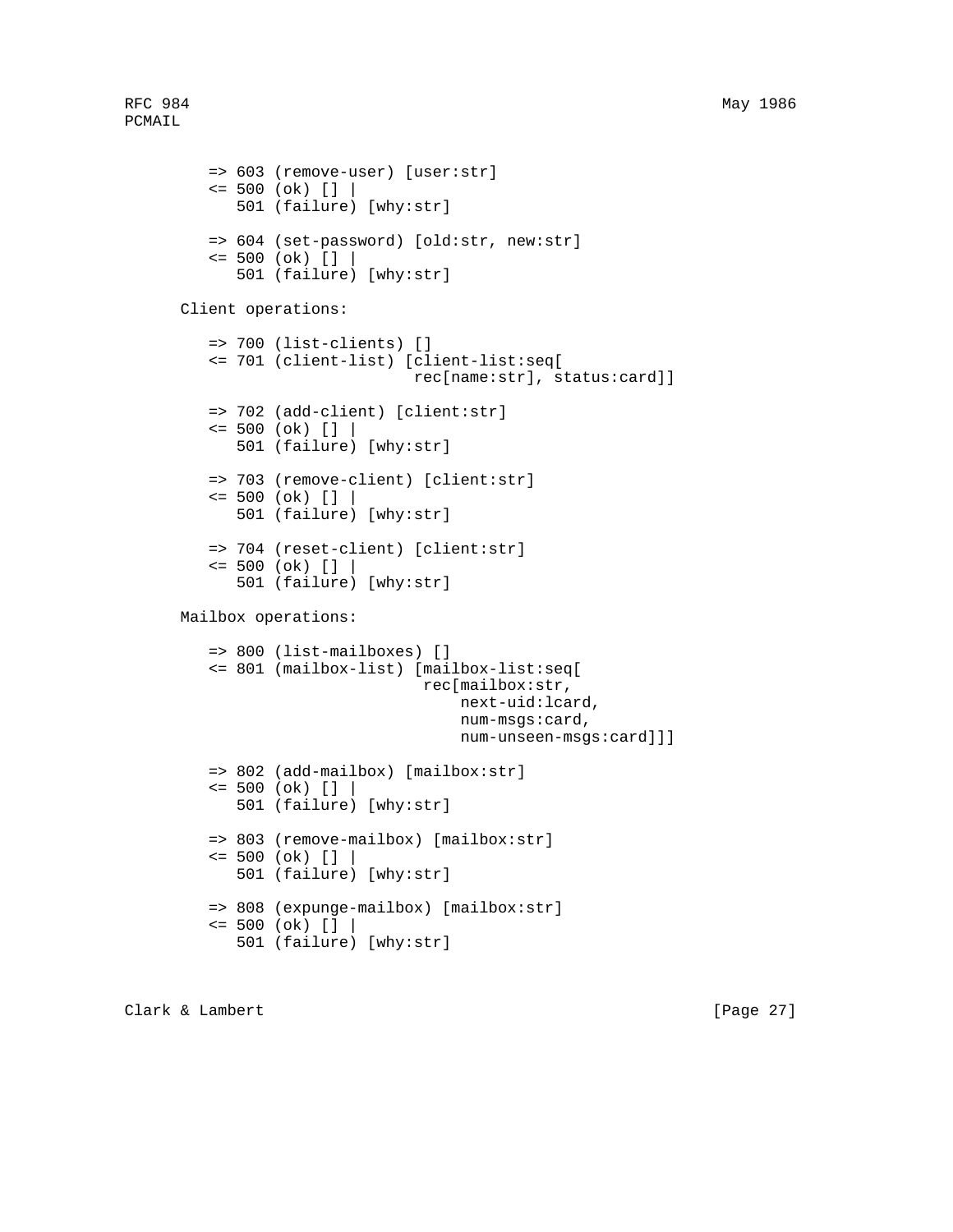```
 => 603 (remove-user) [user:str]
   \le 500 (ok) [] | 501 (failure) [why:str]
    => 604 (set-password) [old:str, new:str]
   \le 500 (ok) [] | 501 (failure) [why:str]
 Client operations:
    => 700 (list-clients) []
    <= 701 (client-list) [client-list:seq[
                          rec[name:str], status:card]]
    => 702 (add-client) [client:str]
   \le 500 (ok) [] | 501 (failure) [why:str]
    => 703 (remove-client) [client:str]
   \le 500 (ok) [] | 501 (failure) [why:str]
    => 704 (reset-client) [client:str]
   \le 500 (ok) [] | 501 (failure) [why:str]
 Mailbox operations:
    => 800 (list-mailboxes) []
    <= 801 (mailbox-list) [mailbox-list:seq[
                            rec[mailbox:str,
                                next-uid:lcard,
                                num-msgs:card,
                                num-unseen-msgs:card]]]
    => 802 (add-mailbox) [mailbox:str]
   \le 500 (ok) [] | 501 (failure) [why:str]
    => 803 (remove-mailbox) [mailbox:str]
   \le 500 (ok) [] | 501 (failure) [why:str]
    => 808 (expunge-mailbox) [mailbox:str]
   \le 500 (ok) [] |
       501 (failure) [why:str]
```
Clark & Lambert [Page 27]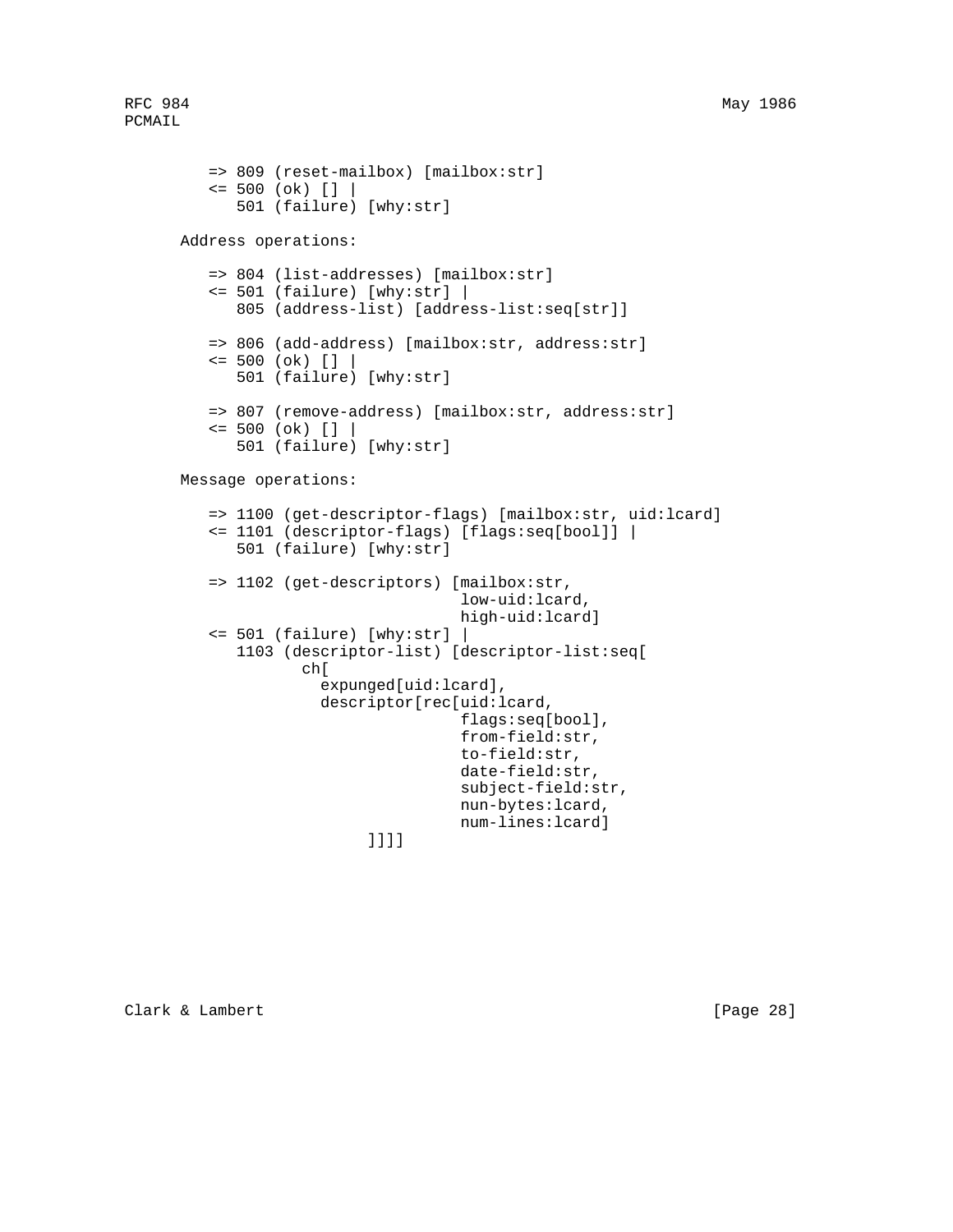```
 => 809 (reset-mailbox) [mailbox:str]
    <= 500 (ok) [] |
       501 (failure) [why:str]
 Address operations:
    => 804 (list-addresses) [mailbox:str]
    <= 501 (failure) [why:str] |
       805 (address-list) [address-list:seq[str]]
    => 806 (add-address) [mailbox:str, address:str]
   \le 500 (ok) [] |
       501 (failure) [why:str]
    => 807 (remove-address) [mailbox:str, address:str]
   \le 500 (ok) [] | 501 (failure) [why:str]
 Message operations:
    => 1100 (get-descriptor-flags) [mailbox:str, uid:lcard]
    <= 1101 (descriptor-flags) [flags:seq[bool]] |
       501 (failure) [why:str]
    => 1102 (get-descriptors) [mailbox:str,
                                low-uid:lcard,
                                high-uid:lcard]
    <= 501 (failure) [why:str] |
       1103 (descriptor-list) [descriptor-list:seq[
              ch[
                 expunged[uid:lcard],
                descriptor[rec[uid:lcard,
                                flags:seq[bool],
                                from-field:str,
                                to-field:str,
                                date-field:str,
                                subject-field:str,
                                nun-bytes:lcard,
                                num-lines:lcard]
```
]]]]

Clark & Lambert [Page 28]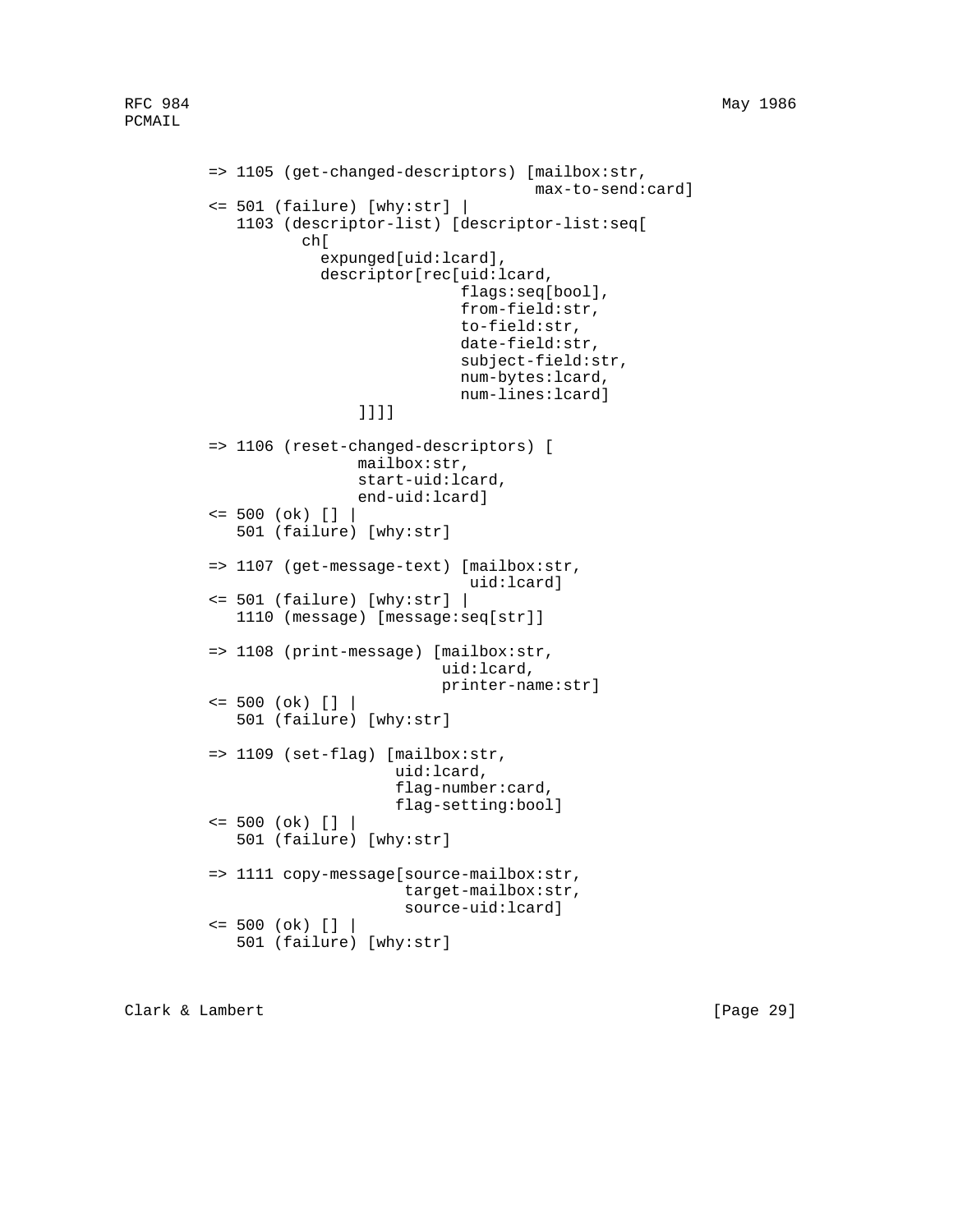```
 => 1105 (get-changed-descriptors) [mailbox:str,
                                      max-to-send:card]
 <= 501 (failure) [why:str] |
    1103 (descriptor-list) [descriptor-list:seq[
           ch[
              expunged[uid:lcard],
              descriptor[rec[uid:lcard,
                              flags:seq[bool],
                             from-field:str,
                              to-field:str,
                              date-field:str,
                              subject-field:str,
                             num-bytes:lcard,
                             num-lines:lcard]
                  ]]]]
 => 1106 (reset-changed-descriptors) [
                  mailbox:str,
                  start-uid:lcard,
                  end-uid:lcard]
\le 500 (ok) [] |
    501 (failure) [why:str]
 => 1107 (get-message-text) [mailbox:str,
                               uid:lcard]
 <= 501 (failure) [why:str] |
   1110 (message) [message:seq[str]]
 => 1108 (print-message) [mailbox:str,
                           uid:lcard,
                           printer-name:str]
\le 500 (ok) [] | 501 (failure) [why:str]
 => 1109 (set-flag) [mailbox:str,
                      uid:lcard,
                      flag-number:card,
                      flag-setting:bool]
\le 500 (ok) [] | 501 (failure) [why:str]
 => 1111 copy-message[source-mailbox:str,
                       target-mailbox:str,
                       source-uid:lcard]
\le 500 (ok) [] | 501 (failure) [why:str]
```
Clark & Lambert [Page 29]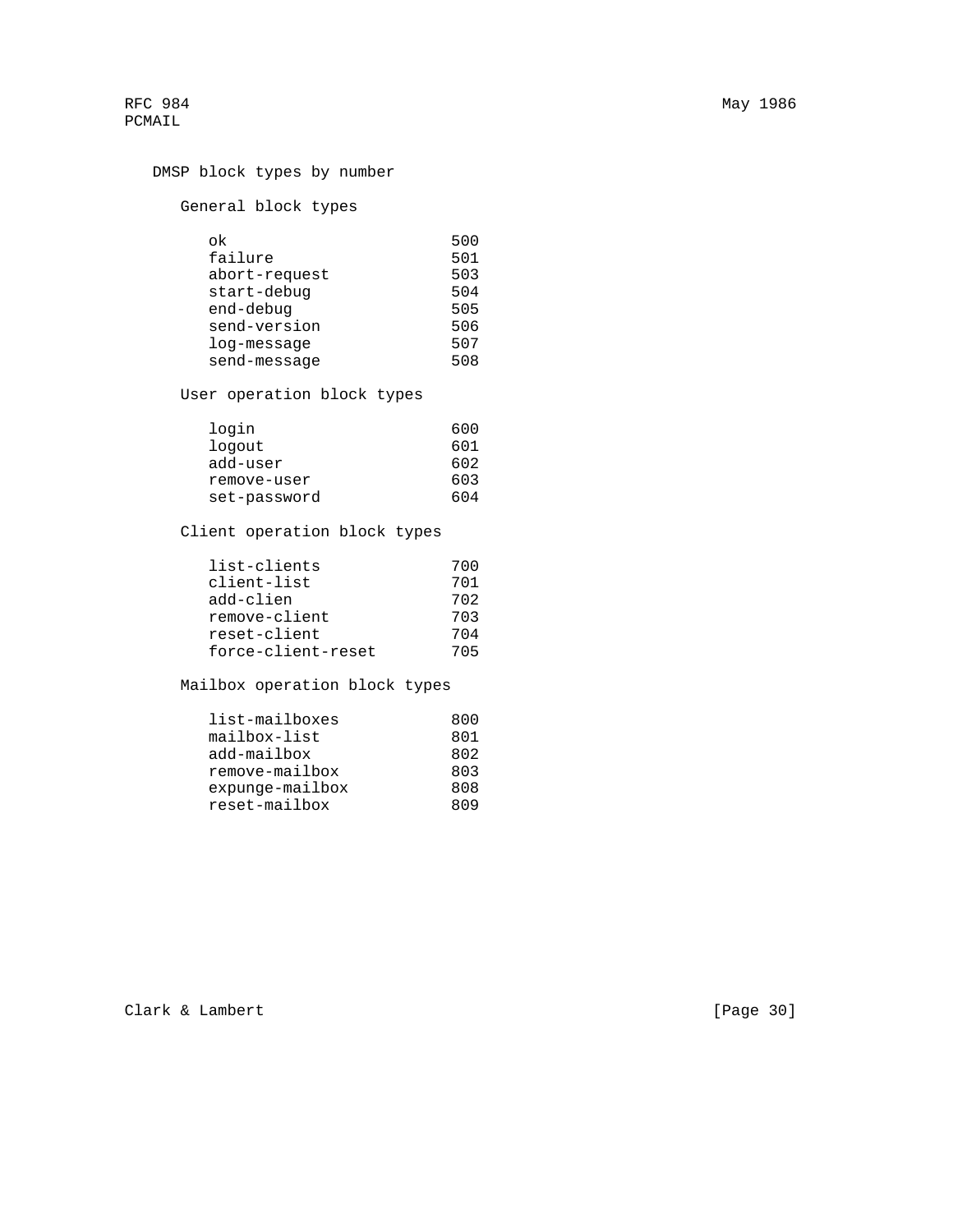```
 DMSP block types by number
```
General block types

| ok            | 500 |
|---------------|-----|
| failure       | 501 |
| abort-request | 503 |
| start-debug   | 504 |
| end-debug     | 505 |
| send-version  | 506 |
| log-message   | 507 |
| send-message  | 508 |

User operation block types

| login        | 600 |
|--------------|-----|
| logout       | 601 |
| add-user     | 602 |
| remove-user  | 603 |
| set-password | 604 |

Client operation block types

| list-clients       | 700 |
|--------------------|-----|
| client-list        | 701 |
| add-clien          | 702 |
| remove-client      | 703 |
| reset-client       | 704 |
| force-client-reset | 705 |

Mailbox operation block types

| list-mailboxes     | 800 |
|--------------------|-----|
| mailbox-list       | 801 |
| add-mailbox        | 802 |
| remove-mailbox     | 803 |
| $exp$ unqe-mailbox | 808 |
| reset-mailbox      | 809 |

Clark & Lambert [Page 30]